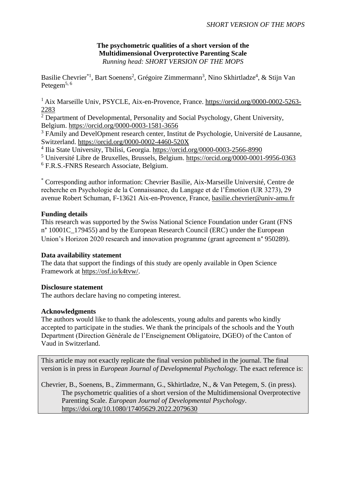### **The psychometric qualities of a short version of the Multidimensional Overprotective Parenting Scale** *Running head: SHORT VERSION OF THE MOPS*

Basilie Chevrier<sup>\*1</sup>, Bart Soenens<sup>2</sup>, Grégoire Zimmermann<sup>3</sup>, Nino Skhirtladze<sup>4</sup>, & Stijn Van Petegem<sup>5,  $6$ </sup>

<sup>1</sup> Aix Marseille Univ, PSYCLE, Aix-en-Provence, France. [https://orcid.org/0000-0002-5263-](https://orcid.org/0000-0002-5263-2283) [2283](https://orcid.org/0000-0002-5263-2283)

<sup>2</sup> Department of Developmental, Personality and Social Psychology, Ghent University, Belgium.<https://orcid.org/0000-0003-1581-3656>

<sup>3</sup> FAmily and DevelOpment research center, Institut de Psychologie, Université de Lausanne, Switzerland.<https://orcid.org/0000-0002-4460-520X>

<sup>4</sup> Ilia State University, Tbilisi, Georgia.<https://orcid.org/0000-0003-2566-8990>

<sup>5</sup> Université Libre de Bruxelles, Brussels, Belgium.<https://orcid.org/0000-0001-9956-0363> <sup>6</sup> F.R.S.-FNRS Research Associate, Belgium.

\* Corresponding author information: Chevrier Basilie, Aix-Marseille Université, Centre de recherche en Psychologie de la Connaissance, du Langage et de l'Émotion (UR 3273), 29 avenue Robert Schuman, F-13621 Aix-en-Provence, France, [basilie.chevrier@univ-amu.fr](mailto:basilie.chevrier@univ-amu.fr)

### **Funding details**

This research was supported by the Swiss National Science Foundation under Grant (FNS n° 10001C\_179455) and by the European Research Council (ERC) under the European Union's Horizon 2020 research and innovation programme (grant agreement n° 950289).

#### **Data availability statement**

The data that support the findings of this study are openly available in Open Science Framework at [https://osf.io/k4tvw/.](https://osf.io/k4tvw/?view_only=4eb0ce5b84e84cd3818c49ce7bbed3cc)

#### **Disclosure statement**

The authors declare having no competing interest.

### **Acknowledgments**

The authors would like to thank the adolescents, young adults and parents who kindly accepted to participate in the studies. We thank the principals of the schools and the Youth Department (Direction Générale de l'Enseignement Obligatoire, DGEO) of the Canton of Vaud in Switzerland.

This article may not exactly replicate the final version published in the journal. The final version is in press in *European Journal of Developmental Psychology.* The exact reference is:

Chevrier, B., Soenens, B., Zimmermann, G., Skhirtladze, N., & Van Petegem, S. (in press). The psychometric qualities of a short version of the Multidimensional Overprotective Parenting Scale. *European Journal of Developmental Psychology*. <https://doi.org/10.1080/17405629.2022.2079630>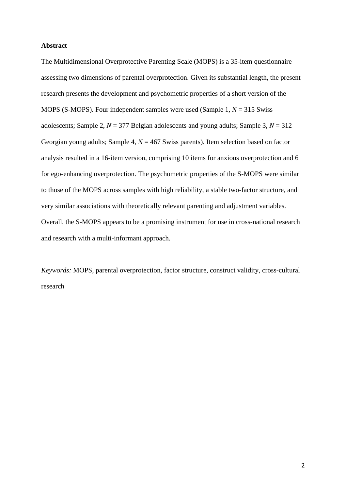#### **Abstract**

The Multidimensional Overprotective Parenting Scale (MOPS) is a 35-item questionnaire assessing two dimensions of parental overprotection. Given its substantial length, the present research presents the development and psychometric properties of a short version of the MOPS (S-MOPS). Four independent samples were used (Sample 1, *N* = 315 Swiss adolescents; Sample 2,  $N = 377$  Belgian adolescents and young adults; Sample 3,  $N = 312$ Georgian young adults; Sample 4, *N* = 467 Swiss parents). Item selection based on factor analysis resulted in a 16-item version, comprising 10 items for anxious overprotection and 6 for ego-enhancing overprotection. The psychometric properties of the S-MOPS were similar to those of the MOPS across samples with high reliability, a stable two-factor structure, and very similar associations with theoretically relevant parenting and adjustment variables. Overall, the S-MOPS appears to be a promising instrument for use in cross-national research and research with a multi-informant approach.

*Keywords:* MOPS, parental overprotection, factor structure, construct validity, cross-cultural research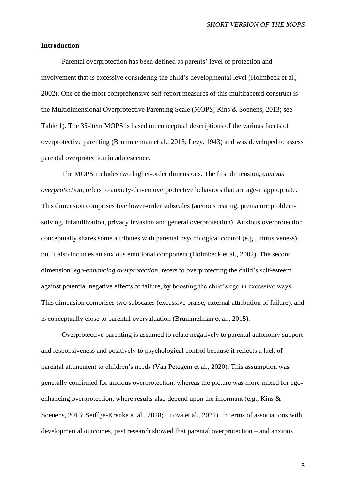#### **Introduction**

Parental overprotection has been defined as parents' level of protection and involvement that is excessive considering the child's developmental level (Holmbeck et al., 2002). One of the most comprehensive self-report measures of this multifaceted construct is the Multidimensional Overprotective Parenting Scale (MOPS; Kins & Soenens, 2013; see [Table 1\)](#page-16-0). The 35-item MOPS is based on conceptual descriptions of the various facets of overprotective parenting (Brummelman et al., 2015; Levy, 1943) and was developed to assess parental overprotection in adolescence.

The MOPS includes two higher-order dimensions. The first dimension, *anxious overprotection*, refers to anxiety-driven overprotective behaviors that are age-inappropriate. This dimension comprises five lower-order subscales (anxious rearing, premature problemsolving, infantilization, privacy invasion and general overprotection). Anxious overprotection conceptually shares some attributes with parental psychological control (e.g., intrusiveness), but it also includes an anxious emotional component (Holmbeck et al., 2002). The second dimension, *ego-enhancing overprotection*, refers to overprotecting the child's self-esteem against potential negative effects of failure, by boosting the child's ego in excessive ways. This dimension comprises two subscales (excessive praise, external attribution of failure), and is conceptually close to parental overvaluation (Brummelman et al., 2015).

Overprotective parenting is assumed to relate negatively to parental autonomy support and responsiveness and positively to psychological control because it reflects a lack of parental attunement to children's needs (Van Petegem et al., 2020). This assumption was generally confirmed for anxious overprotection, whereas the picture was more mixed for egoenhancing overprotection, where results also depend upon the informant (e.g., Kins & Soenens, 2013; Seiffge-Krenke et al., 2018; Titova et al., 2021). In terms of associations with developmental outcomes, past research showed that parental overprotection – and anxious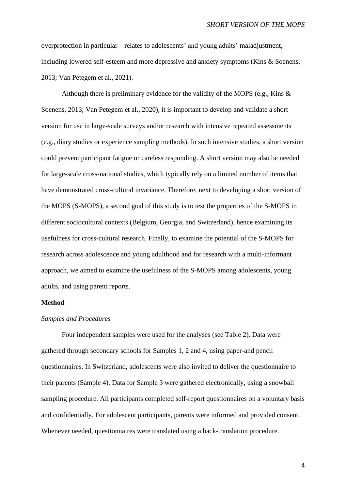overprotection in particular – relates to adolescents' and young adults' maladjustment, including lowered self-esteem and more depressive and anxiety symptoms (Kins & Soenens, 2013; Van Petegem et al., 2021).

Although there is preliminary evidence for the validity of the MOPS (e.g., Kins & Soenens, 2013; Van Petegem et al., 2020), it is important to develop and validate a short version for use in large-scale surveys and/or research with intensive repeated assessments (e.g., diary studies or experience sampling methods). In such intensive studies, a short version could prevent participant fatigue or careless responding. A short version may also be needed for large-scale cross-national studies, which typically rely on a limited number of items that have demonstrated cross-cultural invariance. Therefore, next to developing a short version of the MOPS (S-MOPS), a second goal of this study is to test the properties of the S-MOPS in different sociocultural contexts (Belgium, Georgia, and Switzerland), hence examining its usefulness for cross-cultural research. Finally, to examine the potential of the S-MOPS for research across adolescence and young adulthood and for research with a multi-informant approach, we aimed to examine the usefulness of the S-MOPS among adolescents, young adults, and using parent reports.

### **Method**

#### *Samples and Procedures*

Four independent samples were used for the analyses (see [Table 2\)](#page-18-0). Data were gathered through secondary schools for Samples 1, 2 and 4, using paper-and pencil questionnaires. In Switzerland, adolescents were also invited to deliver the questionnaire to their parents (Sample 4). Data for Sample 3 were gathered electronically, using a snowball sampling procedure. All participants completed self-report questionnaires on a voluntary basis and confidentially. For adolescent participants, parents were informed and provided consent. Whenever needed, questionnaires were translated using a back-translation procedure.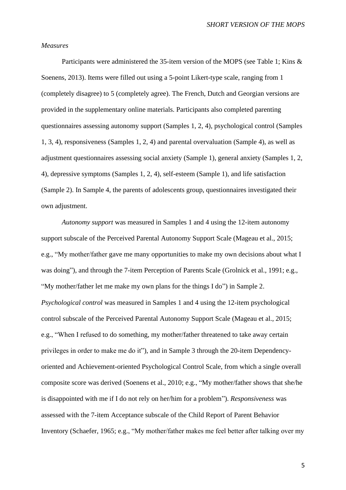#### *Measures*

Participants were administered the 35-item version of the MOPS (see Table 1; Kins & Soenens, 2013). Items were filled out using a 5-point Likert-type scale, ranging from 1 (completely disagree) to 5 (completely agree). The French, Dutch and Georgian versions are provided in the supplementary online materials. Participants also completed parenting questionnaires assessing autonomy support (Samples 1, 2, 4), psychological control (Samples 1, 3, 4), responsiveness (Samples 1, 2, 4) and parental overvaluation (Sample 4), as well as adjustment questionnaires assessing social anxiety (Sample 1), general anxiety (Samples 1, 2, 4), depressive symptoms (Samples 1, 2, 4), self-esteem (Sample 1), and life satisfaction (Sample 2). In Sample 4, the parents of adolescents group, questionnaires investigated their own adjustment.

*Autonomy support* was measured in Samples 1 and 4 using the 12-item autonomy support subscale of the Perceived Parental Autonomy Support Scale (Mageau et al., 2015; e.g., "My mother/father gave me many opportunities to make my own decisions about what I was doing"), and through the 7-item Perception of Parents Scale (Grolnick et al., 1991; e.g., "My mother/father let me make my own plans for the things I do") in Sample 2. *Psychological control* was measured in Samples 1 and 4 using the 12-item psychological control subscale of the Perceived Parental Autonomy Support Scale (Mageau et al., 2015; e.g., "When I refused to do something, my mother/father threatened to take away certain privileges in order to make me do it"), and in Sample 3 through the 20-item Dependencyoriented and Achievement-oriented Psychological Control Scale, from which a single overall composite score was derived (Soenens et al., 2010; e.g., "My mother/father shows that she/he is disappointed with me if I do not rely on her/him for a problem"). *Responsiveness* was assessed with the 7-item Acceptance subscale of the Child Report of Parent Behavior Inventory (Schaefer, 1965; e.g., "My mother/father makes me feel better after talking over my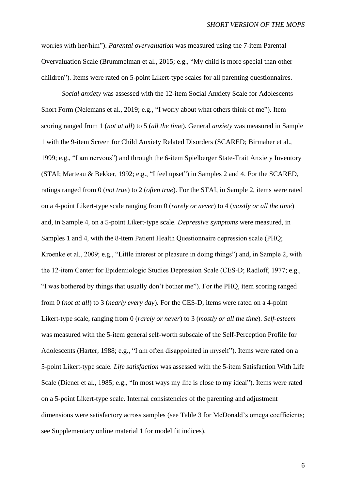worries with her/him"). *Parental overvaluation* was measured using the 7-item Parental Overvaluation Scale (Brummelman et al., 2015; e.g., "My child is more special than other children"). Items were rated on 5-point Likert-type scales for all parenting questionnaires.

*Social anxiety* was assessed with the 12-item Social Anxiety Scale for Adolescents Short Form (Nelemans et al., 2019; e.g., "I worry about what others think of me"). Item scoring ranged from 1 (*not at all*) to 5 (*all the time*). General *anxiety* was measured in Sample 1 with the 9-item Screen for Child Anxiety Related Disorders (SCARED; Birmaher et al., 1999; e.g., "I am nervous") and through the 6-item Spielberger State-Trait Anxiety Inventory (STAI; Marteau & Bekker, 1992; e.g., "I feel upset") in Samples 2 and 4. For the SCARED, ratings ranged from 0 (*not true*) to 2 (*often true*). For the STAI, in Sample 2, items were rated on a 4-point Likert-type scale ranging from 0 (*rarely or never*) to 4 (*mostly or all the time*) and, in Sample 4, on a 5-point Likert-type scale. *Depressive symptoms* were measured, in Samples 1 and 4, with the 8-item Patient Health Questionnaire depression scale (PHQ; Kroenke et al., 2009; e.g., "Little interest or pleasure in doing things") and, in Sample 2, with the 12-item Center for Epidemiologic Studies Depression Scale (CES-D; Radloff, 1977; e.g., "I was bothered by things that usually don't bother me"). For the PHQ, item scoring ranged from 0 (*not at all*) to 3 (*nearly every day*). For the CES-D, items were rated on a 4-point Likert-type scale, ranging from 0 (*rarely or never*) to 3 (*mostly or all the time*). *Self-esteem* was measured with the 5-item general self-worth subscale of the Self-Perception Profile for Adolescents (Harter, 1988; e.g., "I am often disappointed in myself"). Items were rated on a 5-point Likert-type scale*. Life satisfaction* was assessed with the 5-item Satisfaction With Life Scale (Diener et al., 1985; e.g., "In most ways my life is close to my ideal"). Items were rated on a 5-point Likert-type scale. Internal consistencies of the parenting and adjustment dimensions were satisfactory across samples (see [Table 3](#page-19-0) for McDonald's omega coefficients; see Supplementary online material 1 for model fit indices).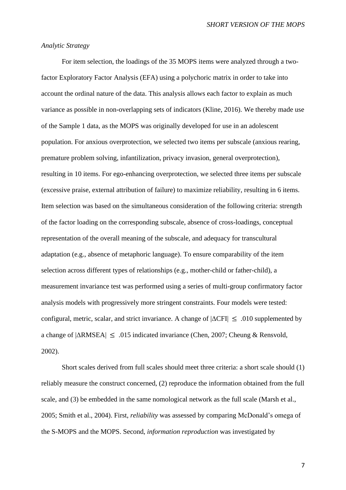#### *Analytic Strategy*

For item selection, the loadings of the 35 MOPS items were analyzed through a twofactor Exploratory Factor Analysis (EFA) using a polychoric matrix in order to take into account the ordinal nature of the data. This analysis allows each factor to explain as much variance as possible in non-overlapping sets of indicators (Kline, 2016). We thereby made use of the Sample 1 data, as the MOPS was originally developed for use in an adolescent population. For anxious overprotection, we selected two items per subscale (anxious rearing, premature problem solving, infantilization, privacy invasion, general overprotection), resulting in 10 items. For ego-enhancing overprotection, we selected three items per subscale (excessive praise, external attribution of failure) to maximize reliability, resulting in 6 items. Item selection was based on the simultaneous consideration of the following criteria: strength of the factor loading on the corresponding subscale, absence of cross-loadings, conceptual representation of the overall meaning of the subscale, and adequacy for transcultural adaptation (e.g., absence of metaphoric language). To ensure comparability of the item selection across different types of relationships (e.g., mother-child or father-child), a measurement invariance test was performed using a series of multi-group confirmatory factor analysis models with progressively more stringent constraints. Four models were tested: configural, metric, scalar, and strict invariance. A change of  $|\Delta CFI| \le .010$  supplemented by a change of  $|\triangle$ RMSEA $|\leq .015$  indicated invariance (Chen, 2007; Cheung & Rensvold, 2002).

Short scales derived from full scales should meet three criteria: a short scale should (1) reliably measure the construct concerned, (2) reproduce the information obtained from the full scale, and (3) be embedded in the same nomological network as the full scale (Marsh et al., 2005; Smith et al., 2004). First, *reliability* was assessed by comparing McDonald's omega of the S-MOPS and the MOPS. Second, *information reproduction* was investigated by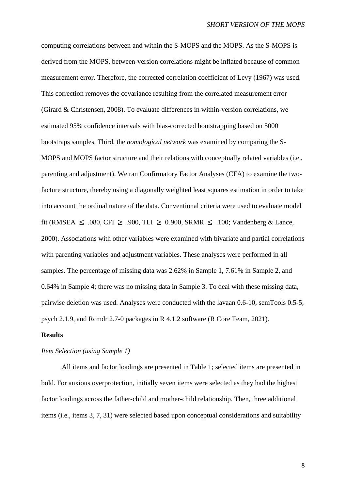computing correlations between and within the S-MOPS and the MOPS. As the S-MOPS is derived from the MOPS, between-version correlations might be inflated because of common measurement error. Therefore, the corrected correlation coefficient of Levy (1967) was used. This correction removes the covariance resulting from the correlated measurement error (Girard & Christensen, 2008). To evaluate differences in within-version correlations, we estimated 95% confidence intervals with bias-corrected bootstrapping based on 5000 bootstraps samples. Third, the *nomological network* was examined by comparing the S-MOPS and MOPS factor structure and their relations with conceptually related variables (i.e., parenting and adjustment). We ran Confirmatory Factor Analyses (CFA) to examine the twofacture structure, thereby using a diagonally weighted least squares estimation in order to take into account the ordinal nature of the data. Conventional criteria were used to evaluate model fit (RMSEA  $\leq .080$ , CFI  $\geq .900$ , TLI  $\geq 0.900$ , SRMR  $\leq .100$ ; Vandenberg & Lance, 2000). Associations with other variables were examined with bivariate and partial correlations with parenting variables and adjustment variables. These analyses were performed in all samples. The percentage of missing data was 2.62% in Sample 1, 7.61% in Sample 2, and 0.64% in Sample 4; there was no missing data in Sample 3. To deal with these missing data, pairwise deletion was used. Analyses were conducted with the lavaan 0.6-10, semTools 0.5-5, psych 2.1.9, and Rcmdr 2.7-0 packages in R 4.1.2 software (R Core Team, 2021).

#### **Results**

#### *Item Selection (using Sample 1)*

All items and factor loadings are presented in [Table 1;](#page-16-0) selected items are presented in bold. For anxious overprotection, initially seven items were selected as they had the highest factor loadings across the father-child and mother-child relationship. Then, three additional items (i.e., items 3, 7, 31) were selected based upon conceptual considerations and suitability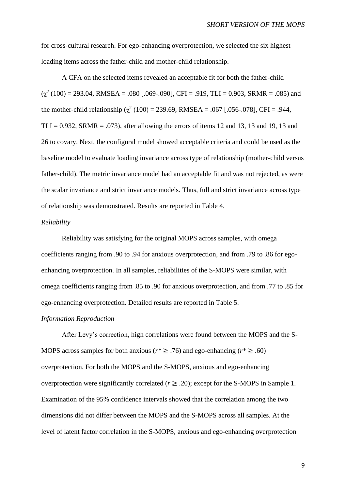for cross-cultural research. For ego-enhancing overprotection, we selected the six highest loading items across the father-child and mother-child relationship.

A CFA on the selected items revealed an acceptable fit for both the father-child  $(\chi^2 (100) = 293.04$ , RMSEA = .080 [.069-.090], CFI = .919, TLI = 0.903, SRMR = .085) and the mother-child relationship ( $\chi^2$  (100) = 239.69, RMSEA = .067 [.056-.078], CFI = .944, TLI =  $0.932$ , SRMR =  $.073$ ), after allowing the errors of items 12 and 13, 13 and 19, 13 and 26 to covary. Next, the configural model showed acceptable criteria and could be used as the baseline model to evaluate loading invariance across type of relationship (mother-child versus father-child). The metric invariance model had an acceptable fit and was not rejected, as were the scalar invariance and strict invariance models. Thus, full and strict invariance across type of relationship was demonstrated. Results are reported in Table 4.

#### *Reliability*

Reliability was satisfying for the original MOPS across samples, with omega coefficients ranging from .90 to .94 for anxious overprotection, and from .79 to .86 for egoenhancing overprotection. In all samples, reliabilities of the S-MOPS were similar, with omega coefficients ranging from .85 to .90 for anxious overprotection, and from .77 to .85 for ego-enhancing overprotection. Detailed results are reported in Table 5.

#### *Information Reproduction*

After Levy's correction, high correlations were found between the MOPS and the S-MOPS across samples for both anxious ( $r^* \geq 0.76$ ) and ego-enhancing ( $r^* \geq 0.60$ ) overprotection. For both the MOPS and the S-MOPS, anxious and ego-enhancing overprotection were significantly correlated ( $r \geq .20$ ); except for the S-MOPS in Sample 1. Examination of the 95% confidence intervals showed that the correlation among the two dimensions did not differ between the MOPS and the S-MOPS across all samples. At the level of latent factor correlation in the S-MOPS, anxious and ego-enhancing overprotection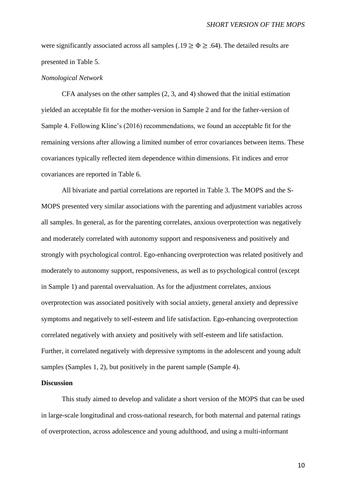were significantly associated across all samples (.19  $\geq \Phi \geq .64$ ). The detailed results are presented in Table 5.

#### *Nomological Network*

CFA analyses on the other samples (2, 3, and 4) showed that the initial estimation yielded an acceptable fit for the mother-version in Sample 2 and for the father-version of Sample 4. Following Kline's (2016) recommendations, we found an acceptable fit for the remaining versions after allowing a limited number of error covariances between items. These covariances typically reflected item dependence within dimensions. Fit indices and error covariances are reported in Table 6.

All bivariate and partial correlations are reported in [Table 3.](#page-19-0) The MOPS and the S-MOPS presented very similar associations with the parenting and adjustment variables across all samples. In general, as for the parenting correlates, anxious overprotection was negatively and moderately correlated with autonomy support and responsiveness and positively and strongly with psychological control. Ego-enhancing overprotection was related positively and moderately to autonomy support, responsiveness, as well as to psychological control (except in Sample 1) and parental overvaluation. As for the adjustment correlates, anxious overprotection was associated positively with social anxiety, general anxiety and depressive symptoms and negatively to self-esteem and life satisfaction. Ego-enhancing overprotection correlated negatively with anxiety and positively with self-esteem and life satisfaction. Further, it correlated negatively with depressive symptoms in the adolescent and young adult samples (Samples 1, 2), but positively in the parent sample (Sample 4).

#### **Discussion**

This study aimed to develop and validate a short version of the MOPS that can be used in large-scale longitudinal and cross-national research, for both maternal and paternal ratings of overprotection, across adolescence and young adulthood, and using a multi-informant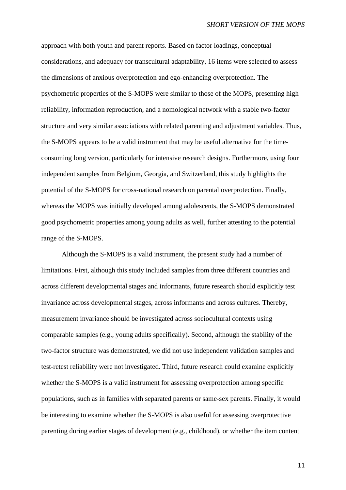approach with both youth and parent reports. Based on factor loadings, conceptual considerations, and adequacy for transcultural adaptability, 16 items were selected to assess the dimensions of anxious overprotection and ego-enhancing overprotection. The psychometric properties of the S-MOPS were similar to those of the MOPS, presenting high reliability, information reproduction, and a nomological network with a stable two-factor structure and very similar associations with related parenting and adjustment variables. Thus, the S-MOPS appears to be a valid instrument that may be useful alternative for the timeconsuming long version, particularly for intensive research designs. Furthermore, using four independent samples from Belgium, Georgia, and Switzerland, this study highlights the potential of the S-MOPS for cross-national research on parental overprotection. Finally, whereas the MOPS was initially developed among adolescents, the S-MOPS demonstrated good psychometric properties among young adults as well, further attesting to the potential range of the S-MOPS.

Although the S-MOPS is a valid instrument, the present study had a number of limitations. First, although this study included samples from three different countries and across different developmental stages and informants, future research should explicitly test invariance across developmental stages, across informants and across cultures. Thereby, measurement invariance should be investigated across sociocultural contexts using comparable samples (e.g., young adults specifically). Second, although the stability of the two-factor structure was demonstrated, we did not use independent validation samples and test-retest reliability were not investigated. Third, future research could examine explicitly whether the S-MOPS is a valid instrument for assessing overprotection among specific populations, such as in families with separated parents or same-sex parents. Finally, it would be interesting to examine whether the S-MOPS is also useful for assessing overprotective parenting during earlier stages of development (e.g., childhood), or whether the item content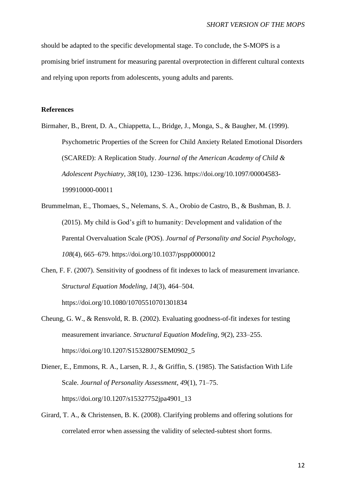should be adapted to the specific developmental stage. To conclude, the S-MOPS is a promising brief instrument for measuring parental overprotection in different cultural contexts and relying upon reports from adolescents, young adults and parents.

#### **References**

- Birmaher, B., Brent, D. A., Chiappetta, L., Bridge, J., Monga, S., & Baugher, M. (1999). Psychometric Properties of the Screen for Child Anxiety Related Emotional Disorders (SCARED): A Replication Study. *Journal of the American Academy of Child & Adolescent Psychiatry*, *38*(10), 1230–1236. https://doi.org/10.1097/00004583- 199910000-00011
- Brummelman, E., Thomaes, S., Nelemans, S. A., Orobio de Castro, B., & Bushman, B. J. (2015). My child is God's gift to humanity: Development and validation of the Parental Overvaluation Scale (POS). *Journal of Personality and Social Psychology*, *108*(4), 665–679. https://doi.org/10.1037/pspp0000012
- Chen, F. F. (2007). Sensitivity of goodness of fit indexes to lack of measurement invariance. *Structural Equation Modeling, 14*(3), 464–504. https://doi.org/10.1080/10705510701301834
- Cheung, G. W., & Rensvold, R. B. (2002). Evaluating goodness-of-fit indexes for testing measurement invariance. *Structural Equation Modeling, 9*(2), 233–255. https://doi.org/10.1207/S15328007SEM0902\_5
- Diener, E., Emmons, R. A., Larsen, R. J., & Griffin, S. (1985). The Satisfaction With Life Scale. *Journal of Personality Assessment*, *49*(1), 71–75. https://doi.org/10.1207/s15327752jpa4901\_13
- Girard, T. A., & Christensen, B. K. (2008). Clarifying problems and offering solutions for correlated error when assessing the validity of selected-subtest short forms.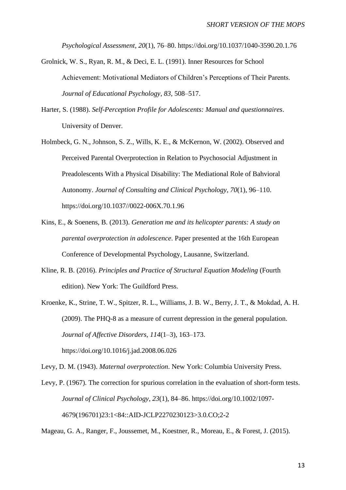*Psychological Assessment*, *20*(1), 76–80. https://doi.org/10.1037/1040-3590.20.1.76

- Grolnick, W. S., Ryan, R. M., & Deci, E. L. (1991). Inner Resources for School Achievement: Motivational Mediators of Children's Perceptions of Their Parents. *Journal of Educational Psychology*, *83*, 508–517.
- Harter, S. (1988). *Self-Perception Profile for Adolescents: Manual and questionnaires*. University of Denver.
- Holmbeck, G. N., Johnson, S. Z., Wills, K. E., & McKernon, W. (2002). Observed and Perceived Parental Overprotection in Relation to Psychosocial Adjustment in Preadolescents With a Physical Disability: The Mediational Role of Bahvioral Autonomy. *Journal of Consulting and Clinical Psychology*, *70*(1), 96–110. https://doi.org/10.1037//0022-006X.70.1.96
- Kins, E., & Soenens, B. (2013). *Generation me and its helicopter parents: A study on parental overprotection in adolescence*. Paper presented at the 16th European Conference of Developmental Psychology, Lausanne, Switzerland.
- Kline, R. B. (2016). *Principles and Practice of Structural Equation Modeling* (Fourth edition). New York: The Guildford Press.
- Kroenke, K., Strine, T. W., Spitzer, R. L., Williams, J. B. W., Berry, J. T., & Mokdad, A. H. (2009). The PHQ-8 as a measure of current depression in the general population. *Journal of Affective Disorders*, *114*(1–3), 163–173. https://doi.org/10.1016/j.jad.2008.06.026

Levy, D. M. (1943). *Maternal overprotection*. New York: Columbia University Press.

Levy, P. (1967). The correction for spurious correlation in the evaluation of short-form tests. *Journal of Clinical Psychology*, *23*(1), 84–86. https://doi.org/10.1002/1097- 4679(196701)23:1<84::AID-JCLP2270230123>3.0.CO;2-2

Mageau, G. A., Ranger, F., Joussemet, M., Koestner, R., Moreau, E., & Forest, J. (2015).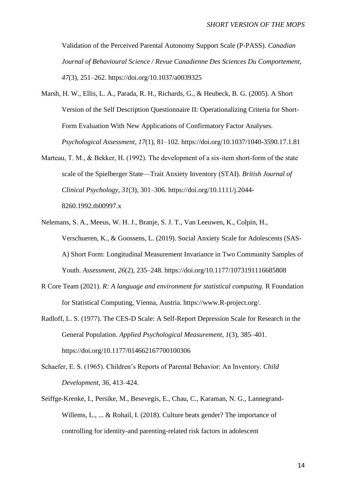Validation of the Perceived Parental Autonomy Support Scale (P-PASS). *Canadian Journal of Behavioural Science / Revue Canadienne Des Sciences Du Comportement*, *47*(3), 251–262. https://doi.org/10.1037/a0039325

- Marsh, H. W., Ellis, L. A., Parada, R. H., Richards, G., & Heubeck, B. G. (2005). A Short Version of the Self Description Questionnaire II: Operationalizing Criteria for Short-Form Evaluation With New Applications of Confirmatory Factor Analyses. *Psychological Assessment*, *17*(1), 81–102. https://doi.org/10.1037/1040-3590.17.1.81
- Marteau, T. M., & Bekker, H. (1992). The development of a six-item short-form of the state scale of the Spielberger State—Trait Anxiety Inventory (STAI). *British Journal of Clinical Psychology*, *31*(3), 301–306. https://doi.org/10.1111/j.2044- 8260.1992.tb00997.x
- Nelemans, S. A., Meeus, W. H. J., Branje, S. J. T., Van Leeuwen, K., Colpin, H., Verschueren, K., & Goossens, L. (2019). Social Anxiety Scale for Adolescents (SAS-A) Short Form: Longitudinal Measurement Invariance in Two Community Samples of Youth. *Assessment*, *26*(2), 235–248. https://doi.org/10.1177/1073191116685808
- R Core Team (2021). *R: A language and environment for statistical computing.* R Foundation for Statistical Computing, Vienna, Austria. https://www.R-project.org/.
- Radloff, L. S. (1977). The CES-D Scale: A Self-Report Depression Scale for Research in the General Population. *Applied Psychological Measurement*, *1*(3), 385–401. https://doi.org/10.1177/014662167700100306
- Schaefer, E. S. (1965). Children's Reports of Parental Behavior: An Inventory. *Child Development*, *36*, 413–424.
- Seiffge-Krenke, I., Persike, M., Besevegis, E., Chau, C., Karaman, N. G., Lannegrand-Willems, L., ... & Rohail, I. (2018). Culture beats gender? The importance of controlling for identity-and parenting-related risk factors in adolescent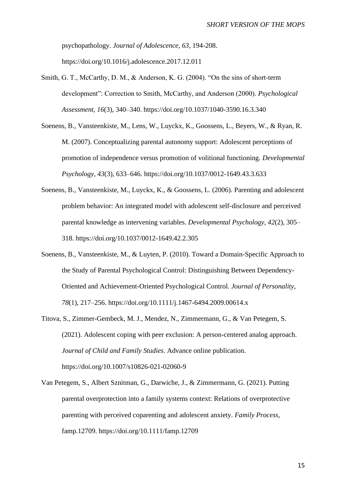psychopathology. *Journal of Adolescence, 63*, 194-208. https://doi.org/10.1016/j.adolescence.2017.12.011

- Smith, G. T., McCarthy, D. M., & Anderson, K. G. (2004). "On the sins of short-term development": Correction to Smith, McCarthy, and Anderson (2000). *Psychological Assessment*, *16*(3), 340–340. https://doi.org/10.1037/1040-3590.16.3.340
- Soenens, B., Vansteenkiste, M., Lens, W., Luyckx, K., Goossens, L., Beyers, W., & Ryan, R. M. (2007). Conceptualizing parental autonomy support: Adolescent perceptions of promotion of independence versus promotion of volitional functioning. *Developmental Psychology*, *43*(3), 633–646. https://doi.org/10.1037/0012-1649.43.3.633
- Soenens, B., Vansteenkiste, M., Luyckx, K., & Goossens, L. (2006). Parenting and adolescent problem behavior: An integrated model with adolescent self-disclosure and perceived parental knowledge as intervening variables. *Developmental Psychology*, *42*(2), 305– 318. https://doi.org/10.1037/0012-1649.42.2.305
- Soenens, B., Vansteenkiste, M., & Luyten, P. (2010). Toward a Domain-Specific Approach to the Study of Parental Psychological Control: Distinguishing Between Dependency-Oriented and Achievement-Oriented Psychological Control. *Journal of Personality*, *78*(1), 217–256. https://doi.org/10.1111/j.1467-6494.2009.00614.x
- Titova, S., Zimmer-Gembeck, M. J., Mendez, N., Zimmermann, G., & Van Petegem, S. (2021). Adolescent coping with peer exclusion: A person-centered analog approach. *Journal of Child and Family Studies*. Advance online publication. https://doi.org/10.1007/s10826-021-02060-9
- Van Petegem, S., Albert Sznitman, G., Darwiche, J., & Zimmermann, G. (2021). Putting parental overprotection into a family systems context: Relations of overprotective parenting with perceived coparenting and adolescent anxiety. *Family Process*, famp.12709. https://doi.org/10.1111/famp.12709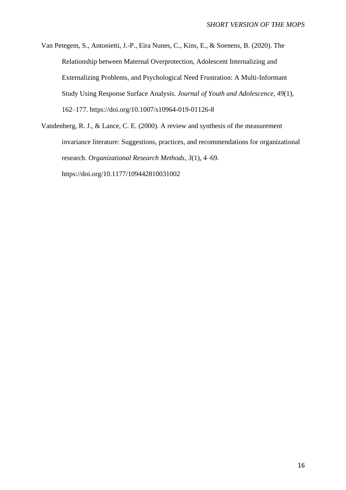Van Petegem, S., Antonietti, J.-P., Eira Nunes, C., Kins, E., & Soenens, B. (2020). The Relationship between Maternal Overprotection, Adolescent Internalizing and Externalizing Problems, and Psychological Need Frustration: A Multi-Informant Study Using Response Surface Analysis. *Journal of Youth and Adolescence*, *49*(1), 162–177. https://doi.org/10.1007/s10964-019-01126-8

Vandenberg, R. J., & Lance, C. E. (2000). A review and synthesis of the measurement invariance literature: Suggestions, practices, and recommendations for organizational research. *Organizational Research Methods*, *3*(1), 4–69. https://doi.org/10.1177/109442810031002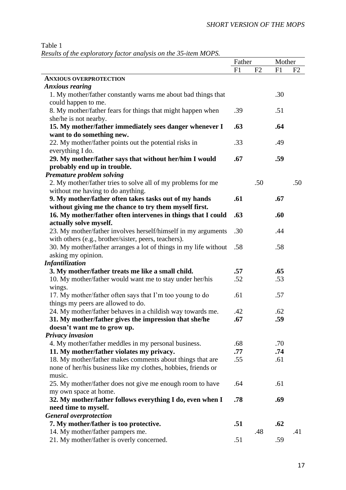<span id="page-16-0"></span>Table 1

*Results of the exploratory factor analysis on the 35-item MOPS.*

| Results of the exploratory factor analysts on the 55-tiem MOFS.            | Father |     | Mother |     |
|----------------------------------------------------------------------------|--------|-----|--------|-----|
|                                                                            | F1     | F2  | F1     | F2  |
| <b>ANXIOUS OVERPROTECTION</b>                                              |        |     |        |     |
| <b>Anxious rearing</b>                                                     |        |     |        |     |
| 1. My mother/father constantly warns me about bad things that              |        |     | .30    |     |
| could happen to me.                                                        |        |     |        |     |
| 8. My mother/father fears for things that might happen when                | .39    |     | .51    |     |
| she/he is not nearby.                                                      |        |     |        |     |
| 15. My mother/father immediately sees danger whenever I                    | .63    |     | .64    |     |
| want to do something new.                                                  |        |     |        |     |
| 22. My mother/father points out the potential risks in                     | .33    |     | .49    |     |
| everything I do.<br>29. My mother/father says that without her/him I would | .67    |     | .59    |     |
| probably end up in trouble.                                                |        |     |        |     |
| Premature problem solving                                                  |        |     |        |     |
| 2. My mother/father tries to solve all of my problems for me               |        | .50 |        | .50 |
| without me having to do anything.                                          |        |     |        |     |
| 9. My mother/father often takes tasks out of my hands                      | .61    |     | .67    |     |
| without giving me the chance to try them myself first.                     |        |     |        |     |
| 16. My mother/father often intervenes in things that I could               | .63    |     | .60    |     |
| actually solve myself.                                                     |        |     |        |     |
| 23. My mother/father involves herself/himself in my arguments              | .30    |     | .44    |     |
| with others (e.g., brother/sister, peers, teachers).                       |        |     |        |     |
| 30. My mother/father arranges a lot of things in my life without           | .58    |     | .58    |     |
| asking my opinion.                                                         |        |     |        |     |
| Infantilization                                                            |        |     |        |     |
| 3. My mother/father treats me like a small child.                          | .57    |     | .65    |     |
| 10. My mother/father would want me to stay under her/his                   | .52    |     | .53    |     |
| wings.                                                                     |        |     |        |     |
| 17. My mother/father often says that I'm too young to do                   | .61    |     | .57    |     |
| things my peers are allowed to do.                                         |        |     |        |     |
| 24. My mother/father behaves in a childish way towards me.                 | .42    |     | .62    |     |
| 31. My mother/father gives the impression that she/he                      | .67    |     | .59    |     |
| doesn't want me to grow up.                                                |        |     |        |     |
| Privacy invasion                                                           |        |     |        |     |
| 4. My mother/father meddles in my personal business.                       | .68    |     | .70    |     |
| 11. My mother/father violates my privacy.                                  | .77    |     | .74    |     |
| 18. My mother/father makes comments about things that are                  | .55    |     | .61    |     |
| none of her/his business like my clothes, hobbies, friends or<br>music.    |        |     |        |     |
| 25. My mother/father does not give me enough room to have                  | .64    |     | .61    |     |
| my own space at home.                                                      |        |     |        |     |
| 32. My mother/father follows everything I do, even when I                  | .78    |     | .69    |     |
| need time to myself.                                                       |        |     |        |     |
| <b>General overprotection</b>                                              |        |     |        |     |
| 7. My mother/father is too protective.                                     | .51    |     | .62    |     |
| 14. My mother/father pampers me.                                           |        | .48 |        | .41 |
| 21. My mother/father is overly concerned.                                  | .51    |     | .59    |     |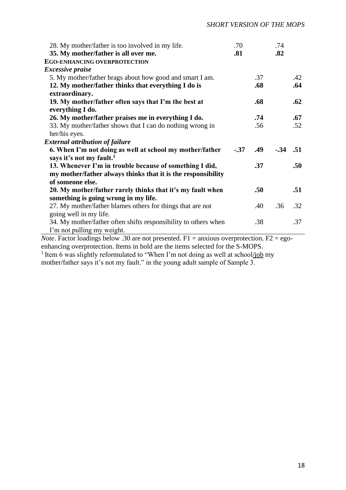| 28. My mother/father is too involved in my life.<br>35. My mother/father is all over me. | .70<br>.81 |     | .74<br>.82 |     |
|------------------------------------------------------------------------------------------|------------|-----|------------|-----|
| <b>EGO-ENHANCING OVERPROTECTION</b>                                                      |            |     |            |     |
| <i>Excessive praise</i>                                                                  |            |     |            |     |
| 5. My mother/father brags about how good and smart I am.                                 |            | .37 |            | .42 |
| 12. My mother/father thinks that everything I do is                                      |            | .68 |            | .64 |
| extraordinary.                                                                           |            |     |            |     |
| 19. My mother/father often says that I'm the best at                                     |            | .68 |            | .62 |
| everything I do.                                                                         |            |     |            |     |
| 26. My mother/father praises me in everything I do.                                      |            | .74 |            | .67 |
| 33. My mother/father shows that I can do nothing wrong in                                |            | .56 |            | .52 |
| her/his eyes.                                                                            |            |     |            |     |
| <b>External attribution of failure</b>                                                   |            |     |            |     |
| 6. When I'm not doing as well at school my mother/father                                 | $-.37$     | .49 | $-.34$ .51 |     |
| says it's not my fault. <sup>1</sup>                                                     |            |     |            |     |
| 13. Whenever I'm in trouble because of something I did,                                  |            | .37 |            | .50 |
| my mother/father always thinks that it is the responsibility                             |            |     |            |     |
| of someone else.                                                                         |            |     |            |     |
| 20. My mother/father rarely thinks that it's my fault when                               |            | .50 |            | .51 |
| something is going wrong in my life.                                                     |            |     |            |     |
| 27. My mother/father blames others for things that are not                               |            | .40 | .36        | .32 |
| going well in my life.                                                                   |            |     |            |     |
| 34. My mother/father often shifts responsibility to others when                          |            | .38 |            | .37 |
| I'm not pulling my weight.                                                               |            |     |            |     |

*Note*. Factor loadings below .30 are not presented.  $F1 =$  anxious overprotection.  $F2 =$  egoenhancing overprotection. Items in bold are the items selected for the S-MOPS.

<sup>1</sup> Item 6 was slightly reformulated to "When I'm not doing as well at school/job my mother/father says it's not my fault." in the young adult sample of Sample 3.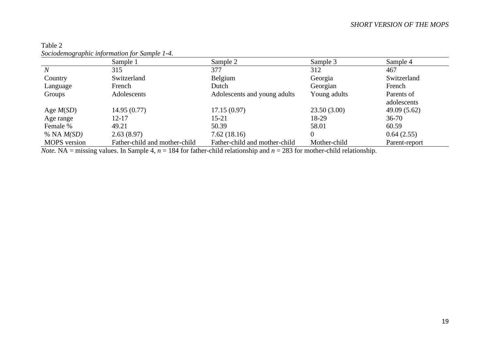|                     | Sample 1                      | Sample 2                      | Sample 3     | Sample 4      |
|---------------------|-------------------------------|-------------------------------|--------------|---------------|
| $\overline{N}$      | 315                           | 377                           | 312          | 467           |
| Country             | Switzerland                   | Belgium                       | Georgia      | Switzerland   |
| Language            | French                        | Dutch                         | Georgian     | French        |
| Groups              | Adolescents                   | Adolescents and young adults  | Young adults | Parents of    |
|                     |                               |                               |              | adolescents   |
| Age $M(SD)$         | 14.95(0.77)                   | 17.15(0.97)                   | 23.50(3.00)  | 49.09(5.62)   |
| Age range           | $12 - 17$                     | $15 - 21$                     | 18-29        | $36 - 70$     |
| Female %            | 49.21                         | 50.39                         | 58.01        | 60.59         |
| % NA $M(SD)$        | 2.63(8.97)                    | 7.62(18.16)                   | 0            | 0.64(2.55)    |
| <b>MOPS</b> version | Father-child and mother-child | Father-child and mother-child | Mother-child | Parent-report |

# Table 2 *Sociodemographic information for Sample 1-4.*

<span id="page-18-0"></span>*Note.* NA = missing values. In Sample 4,  $n = 184$  for father-child relationship and  $n = 283$  for mother-child relationship.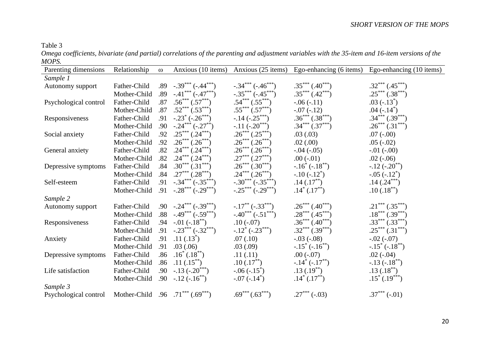## Table 3

*Omega coefficients, bivariate (and partial) correlations of the parenting and adjustment variables with the 35-item and 16-item versions of the MOPS.*

<span id="page-19-0"></span>

| Parenting dimensions  | Relationship                            | $\omega$ | Anxious (10 items)               |                                                |                      | Anxious (25 items) Ego-enhancing (6 items) Ego-enhancing (10 items) |
|-----------------------|-----------------------------------------|----------|----------------------------------|------------------------------------------------|----------------------|---------------------------------------------------------------------|
| Sample 1              |                                         |          |                                  |                                                |                      |                                                                     |
| Autonomy support      | Father-Child                            |          | $.89-.39***(-.44***)$            | $-.34***(-.46***)$                             | $.35***(.40***)$     | $.32***$ $(.45***)$                                                 |
|                       | Mother-Child                            |          | $.89 - .41*** (-.47***)$         | $-.35***(-.45***)$                             | $.35***(.42***)$     | $.25***(.38***)$                                                    |
| Psychological control | Father-Child                            |          | $.87 \quad .56^{***}(.57^{***})$ | $.54***(.55***)$                               | $-.06(-.11)$         | $.03(-.13^*)$                                                       |
|                       | Mother-Child                            | .87      | $.52***(.53***)$                 | $.55***$ $(.57***)$                            | $-.07(-.12)$         | .04 $(-.14^*)$                                                      |
| Responsiveness        | Father-Child                            |          | .91 $-.23^* (-.26^{***})$        | $-.14$ ( $-.25***$ )                           | $.36***(.38***)$     | $.34***(.39***)$                                                    |
|                       | Mother-Child                            |          | .90 $-.24***(-.27**)$            | $-.11 (-.20***)$                               | $.34***(.37***)$     | $.26***(.31***)$                                                    |
| Social anxiety        | Father-Child                            | .92      | $.25***(.24***)$                 | $.26***(.25***)$                               | .03(.03)             | $.07(-.00)$                                                         |
|                       | Mother-Child                            | .92      | $.26***(.26***)$                 | $.26***(.26***)$                               | .02(.00)             | $.05(-.02)$                                                         |
| General anxiety       | Father-Child                            | .82      | $.24***(.24***)$                 | $.26***(.26***)$                               | $-.04 (-05)$         | $-.01(-.00)$                                                        |
|                       | Mother-Child                            | .82      | $.24***(.24***)$                 | $.27***$ $(.27***)$                            | $.00(-.01)$          | $.02(-.06)$                                                         |
| Depressive symptoms   | Father-Child                            | .84      | $.30^{***}(.31^{***})$           | $.26***(.30***)$                               | $-.16^* (-.18^{**})$ | $-.12(-.20^{**})$                                                   |
|                       | Mother-Child                            | .84      | $.27***$ $(.28***)$              | $.24***(.26***)$                               | $-.10(-.12^*)$       | $-.05(-.12^*)$                                                      |
| Self-esteem           | Father-Child                            |          | $.91-.34***(-.35***)$            | $-.30***(-.35***)$                             | $.14(.17^{**})$      | $.14(.24***)$                                                       |
|                       | Mother-Child                            |          | .91 $-0.28***(-0.29***)$         | $-.25***(-.29***)$                             | $.14^*$ $(.17^{**})$ | $.10(.18^{**})$                                                     |
| Sample 2              |                                         |          |                                  |                                                |                      |                                                                     |
| Autonomy support      | Father-Child                            |          | $.90-.24***(-.39***)$            | $-.17$ <sup>**</sup> ( $-.33$ <sup>***</sup> ) | $.26***(.40***)$     | $.21***(.35***)$                                                    |
|                       | Mother-Child                            |          | $.88 - .49*** (-.59***)$         | $-.40***(-.51***)$                             | $.28***(.45***)$     | $.18***(.39***)$                                                    |
| Responsiveness        | Father-Child                            |          | $.94 - 01 (-.18^{**})$           | $.10(-.07)$                                    | $.36***(.40***)$     | $.33***(.33***)$                                                    |
|                       | Mother-Child                            |          | .91 $-.23***(-.32***)$           | $-.12^* (-.23^{***})$                          | $.32***(.39***)$     | $.25***(.31***)$                                                    |
| Anxiety               | Father-Child                            |          | $.91$ $.11$ $(.13^*)$            | .07(.10)                                       | $-.03(-.08)$         | $-.02(-.07)$                                                        |
|                       | Mother-Child                            | .91      | .03(.06)                         | .03(.09)                                       | $-.15^* (-.16^{**})$ | $-.15^* (-.18^{**})$                                                |
| Depressive symptoms   | Father-Child                            |          | $.86 \quad .16^* \,(.18^{**})$   | .11(.11)                                       | $.00(-.07)$          | $.02(-.04)$                                                         |
|                       | Mother-Child                            | .86      | $.11(.15^{**})$                  | $.10(.17^{**})$                                | $-.14^*(-.17^{**})$  | $-.13(-.18**)$                                                      |
| Life satisfaction     | Father-Child                            |          | $.90-.13(-.20***)$               | $-.06(-.15^*)$                                 | $.13(.19^{**})$      | $.13(.18^{**})$                                                     |
|                       | Mother-Child                            |          | $.90-.12(-.16^{**})$             | $-.07(-.14^*)$                                 | $.14^*$ $(.17^{**})$ | $.15^*$ $(.19^{***})$                                               |
| Sample 3              |                                         |          |                                  |                                                |                      |                                                                     |
| Psychological control | Mother-Child $.96 \t .71***$ $(.69***)$ |          |                                  | $.69***(.63***)$                               | $.27***(-.03)$       | $.37***(-.01)$                                                      |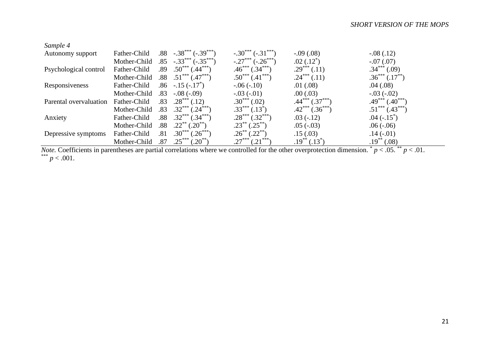| Sample 4               |              |     |                             |                           |                        |                           |
|------------------------|--------------|-----|-----------------------------|---------------------------|------------------------|---------------------------|
| Autonomy support       | Father-Child | .88 | $-.38***(-.39***)$          | $-.30***(-.31***)$        | $-0.09(0.08)$          | $-.08(.12)$               |
|                        | Mother-Child | .85 | $-.33***$<br>$(-.35***)$    | $-.27***$<br>$(-.26***$   | $.02(.12^*)$           | $-.07(.07)$               |
| Psychological control  | Father-Child | .89 | $.50***$<br>$(.44***$       | $.46^{***}$<br>$0.34***$  | $.29***(.11)$          | $.34***(.09)$             |
|                        | Mother-Child | .88 | $.51***$<br>$^*(.47^{***})$ | $.50^{***}$ $(.41^{***})$ | $.24***(.11)$          | $.36***(.17**)$           |
| Responsiveness         | Father-Child | .86 | $-.15(-.17^*)$              | $-0.06(-10)$              | .01(.08)               | .04(.08)                  |
|                        | Mother-Child | .83 | $-.08(-.09)$                | $-.03(-.01)$              | .00(0.03)              | $-.03(-.02)$              |
| Parental overvaluation | Father-Child | .83 | $.28***$<br>(0.12)          | $.30***$<br>(.02)         | $.44***$<br>$(.37***)$ | $.49***$<br>$(.40^{***})$ |
|                        | Mother-Child | .83 | $.32***$<br>$0.24***$       | $.33***(.13*)$            | $.42***$ $(.36***$     | $.51***$ $(.43***)$       |
| Anxiety                | Father-Child | .88 | $.32***$<br>$(.34***)$      | $.28***$<br>$(.32***)$    | $.03(-.12)$            | $.04(-.15^*)$             |
|                        | Mother-Child | .88 | $.22***$<br>$(.20^{**})$    | $.23***$<br>$(0.25^{**})$ | $.05(-.03)$            | $.06(-.06)$               |
| Depressive symptoms    | Father-Child | .81 | $.30***$<br>$(.26^{***}$    | $.26^{**}(.22^{**})$      | .15(.03)               | $.14(-.01)$               |
|                        | Mother-Child | .87 | $.20***$                    | (.21                      | $.19^{**}(.13^{*})$    | $.19^{**}(.08)$           |

*Note.* Coefficients in parentheses are partial correlations where we controlled for the other overprotection dimension.  $p < 0.05$ .  $p < 0.01$ . \*\*\*  $p < .001$ .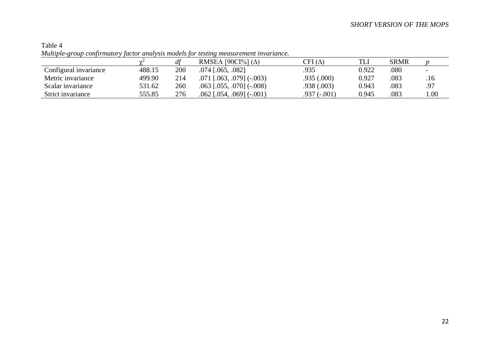|                       |               |     | нтингри қтойр сонритиног у јастог анатуму тошсіз јог темнің тиами стиені нітан шисе. |                                   |       |             |                          |
|-----------------------|---------------|-----|--------------------------------------------------------------------------------------|-----------------------------------|-------|-------------|--------------------------|
|                       | $\sim$ $\sim$ |     | RMSEA [90CI%] $(\Delta)$                                                             | $\mathrm{CFI}\left(\Delta\right)$ | TLI   | <b>SRMR</b> |                          |
| Configural invariance | 488.15        | 200 | $.074$ [ $.065, .082$ ]                                                              | .935                              | 0.922 | .080        | $\overline{\phantom{0}}$ |
| Metric invariance     | 499.90        | 214 | $.071$ [ $.063$ , $.079$ ] ( $-.003$ )                                               | .935(.000)                        | 0.927 | .083        | .16                      |
| Scalar invariance     | 531.62        | 260 | $.063$ [ $.055$ , $.070$ ] ( $-.008$ )                                               | .938(.003)                        | 0.943 | .083        | .97                      |
| Strict invariance     | 555.85        | 276 | $.062$ [ $.054$ , $.069$ ] ( $-.001$ )                                               | $.937(-.001)$                     | 0.945 | .083        | .00.                     |

Table 4 *Multiple-group confirmatory factor analysis models for testing measurement invariance.*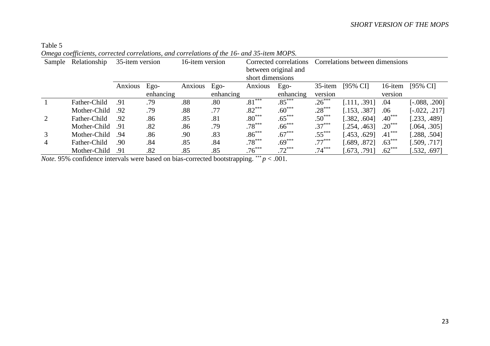#### Table 5 *Omega coefficients, corrected correlations, and correlations of the 16- and 35-item MOPS.*

|                |              | 35-item version<br>16-item version |           |         |           |                  |                        |                                 |                     |          |                     |  |  |  |
|----------------|--------------|------------------------------------|-----------|---------|-----------|------------------|------------------------|---------------------------------|---------------------|----------|---------------------|--|--|--|
| Sample         | Relationship |                                    |           |         |           |                  | Corrected correlations | Correlations between dimensions |                     |          |                     |  |  |  |
|                |              |                                    |           |         |           |                  | between original and   |                                 |                     |          |                     |  |  |  |
|                |              |                                    |           |         |           | short dimensions |                        |                                 |                     |          |                     |  |  |  |
|                |              | Anxious                            | $Ego-$    | Anxious | $Ego-$    | Anxious          | Ego-                   | 35-item                         | $[95\% \text{ CI}]$ | 16-item  | $[95\% \text{ CI}]$ |  |  |  |
|                |              |                                    | enhancing |         | enhancing |                  | enhancing              | version                         |                     | version  |                     |  |  |  |
|                | Father-Child | .91                                | .79       | .88     | .80       | $.81***$         | $.85***$               | $.26***$                        | [.111, .391]        | .04      | $[-.088, .200]$     |  |  |  |
|                | Mother-Child | .92                                | .79       | .88     | .77       | $.82***$         | $.60***$               | $.28***$                        | [.153, .387]        | .06      | $[-0.022, .217]$    |  |  |  |
| 2              | Father-Child | .92                                | .86       | .85     | .81       | $.80***$         | $.65***$               | $.50***$                        | [.382, .604]        | $.40***$ | [.233, .489]        |  |  |  |
|                | Mother-Child | .91                                | .82       | .86     | .79       | $.78***$         | $.66***$               | $.37***$                        | [.254, .463]        | $.20***$ | [.064, .305]        |  |  |  |
| 3              | Mother-Child | .94                                | .86       | .90     | .83       | $.86***$         | $.67***$               | $.55***$                        | $-453, .629$        | $.41***$ | [.288, .504]        |  |  |  |
| $\overline{4}$ | Father-Child | .90                                | .84       | .85     | .84       | $.78***$         | $.69***$               | $.77***$                        | [.689, .872]        | $.63***$ | [.509, .717]        |  |  |  |
|                | Mother-Child | .91                                | .82       | .85     | .85       | $.76***$         | $.72***$               | $.74***$                        | [.673, .791]        | $.62***$ | [.532, .697]        |  |  |  |

*Note.* 95% confidence intervals were based on bias-corrected bootstrapping. \*\*\*  $p < .001$ .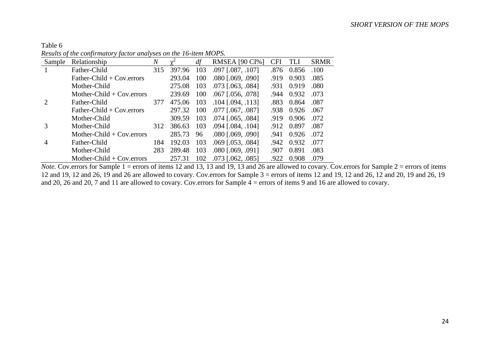Table 6 *Results of the confirmatory factor analyses on the 16-item MOPS.*

| Sample                      | Relationship                 | $\overline{N}$ |        | df  | <b>RMSEA</b> [90 CI%]      | CFI  | TLI   | <b>SRMR</b> |
|-----------------------------|------------------------------|----------------|--------|-----|----------------------------|------|-------|-------------|
|                             | Father-Child                 | 315            | 397.96 | 103 | $.097$ [ $.087, .107$ ]    | .876 | 0.856 | .100        |
|                             | Father-Child $+$ Cov. errors |                | 293.04 | 100 | $.080$ $[.069, .090]$      | .919 | 0.903 | .085        |
|                             | Mother-Child                 |                | 275.08 | 103 | $.073$ [ $.063$ , $.084$ ] | .931 | 0.919 | .080        |
|                             | Mother-Child $+$ Cov. errors |                | 239.69 | 100 | $.067$ [.056, .078]        | .944 | 0.932 | .073        |
| $\mathcal{D}_{\mathcal{L}}$ | Father-Child                 | 377            | 475.06 | 103 | $.104$ [.094, .113]        | .883 | 0.864 | .087        |
|                             | Father-Child + $Cov. errors$ |                | 297.32 | 100 | $.077$ $[.067, .087]$      | .938 | 0.926 | .067        |
|                             | Mother-Child                 |                | 309.59 | 103 | $.074$ [ $.065, .084$ ]    | .919 | 0.906 | .072        |
| 3                           | Mother-Child                 | 312            | 386.63 | 103 | $.094$ $[.084, .104]$      | .912 | 0.897 | .087        |
|                             | Mother-Child $+$ Cov. errors |                | 285.73 | 96  | $.080$ $[.069, .090]$      | .941 | 0.926 | .072        |
| 4                           | Father-Child                 | 184            | 192.03 | 103 | $.069$ [ $.053$ , $.084$ ] | .942 | 0.932 | .077        |
|                             | Mother-Child                 | 283            | 289.48 | 103 | $.080$ $[.069, .091]$      | .907 | 0.891 | .083        |
|                             | Mother-Child $+$ Cov. errors |                | 257.31 | 102 | $.073$ $[.062, .085]$      | .922 | 0.908 | .079        |

*Note.* Cov.errors for Sample 1 = errors of items 12 and 13, 13 and 19, 13 and 26 are allowed to covary. Cov.errors for Sample 2 = errors of items 12 and 19, 12 and 26, 19 and 26 are allowed to covary. Cov.errors for Sample 3 = errors of items 12 and 19, 12 and 26, 12 and 20, 19 and 26, 19 and 20, 26 and 20, 7 and 11 are allowed to covary. Cov.errors for Sample  $\overline{4}$  = errors of items 9 and 16 are allowed to covary.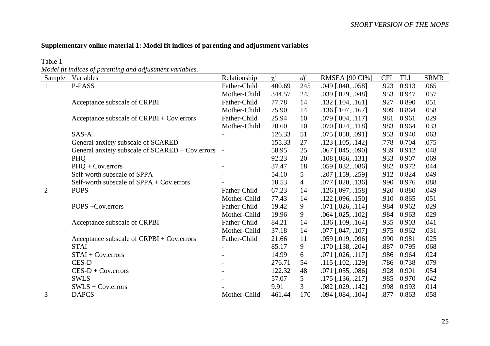# **Supplementary online material 1: Model fit indices of parenting and adjustment variables**

Table 1

*Model fit indices of parenting and adjustment variables.*

| Sample         | Variables                                         | Relationship   | $\gamma^2$ | df             | <b>RMSEA</b> [90 CI%]      | <b>CFI</b> | TLI   | <b>SRMR</b> |
|----------------|---------------------------------------------------|----------------|------------|----------------|----------------------------|------------|-------|-------------|
|                | P-PASS                                            | Father-Child   | 400.69     | 245            | $.049$ [.040, .058]        | .923       | 0.913 | .065        |
|                |                                                   | Mother-Child   | 344.57     | 245            | $.039$ [.029, .048]        | .953       | 0.947 | .057        |
|                | Acceptance subscale of CRPBI                      | Father-Child   | 77.78      | 14             | $.132$ [ $.104$ , $.161$ ] | .927       | 0.890 | .051        |
|                |                                                   | Mother-Child   | 75.90      | 14             | $.136$ [ $.107, .167$ ]    | .909       | 0.864 | .058        |
|                | Acceptance subscale of CRPBI + Cov.errors         | Father-Child   | 25.94      | 10             | $.079$ [ $.004$ , $.117$ ] | .981       | 0.961 | .029        |
|                |                                                   | Mother-Child   | 20.60      | 10             | $.070$ [ $.024$ , $.118$ ] | .983       | 0.964 | .033        |
|                | SAS-A                                             |                | 126.33     | 51             | $.075$ [.058, .091]        | .953       | 0.940 | .063        |
|                | General anxiety subscale of SCARED                |                | 155.33     | 27             | $.123$ [ $.105, .142$ ]    | .778       | 0.704 | .075        |
|                | General anxiety subscale of SCARED + Cov.errors   | $\blacksquare$ | 58.95      | 25             | $.067$ [.045, .090]        | .939       | 0.912 | .048        |
|                | PHQ                                               |                | 92.23      | 20             | $.108$ [.086, .131]        | .933       | 0.907 | .069        |
|                | PHQ + Cov.errors                                  |                | 37.47      | 18             | $.059$ [.032, .086]        | .982       | 0.972 | .044        |
|                | Self-worth subscale of SPPA                       |                | 54.10      | 5              | $.207$ [.159, .259]        | .912       | 0.824 | .049        |
|                | Self-worth subscale of $SPPA + Cov.\text{errors}$ |                | 10.53      | $\overline{4}$ | $.077$ [.020, .136]        | .990       | 0.976 | .088        |
| $\overline{2}$ | <b>POPS</b>                                       | Father-Child   | 67.23      | 14             | $.126$ [.097, .158]        | .920       | 0.880 | .049        |
|                |                                                   | Mother-Child   | 77.43      | 14             | $.122$ [.096, .150]        | .910       | 0.865 | .051        |
|                | POPS +Cov.errors                                  | Father-Child   | 19.42      | 9              | $.071$ [.026, .114]        | .984       | 0.962 | .029        |
|                |                                                   | Mother-Child   | 19.96      | 9              | $.064$ [.025, .102]        | .984       | 0.963 | .029        |
|                | Acceptance subscale of CRPBI                      | Father-Child   | 84.21      | 14             | $.136$ [.109, .164]        | .935       | 0.903 | .041        |
|                |                                                   | Mother-Child   | 37.18      | 14             | $.077$ [ $.047, .107$ ]    | .975       | 0.962 | .031        |
|                | Acceptance subscale of CRPBI + Cov.errors         | Father-Child   | 21.66      | 11             | $.059$ [.019, .096]        | .990       | 0.981 | .025        |
|                | <b>STAI</b>                                       |                | 85.17      | 9              | $.170$ [ $.138$ , $.204$ ] | .887       | 0.795 | .068        |
|                | $STAI + Cov.$ errors                              |                | 14.99      | 6              | $.071$ [.026, .117]        | .986       | 0.964 | .024        |
|                | CES-D                                             |                | 276.71     | 54             | $.115$ [.102, .129]        | .786       | 0.738 | .079        |
|                | $CES-D + Cov.$ errors                             |                | 122.32     | 48             | $.071$ [.055, .086]        | .928       | 0.901 | .054        |
|                | <b>SWLS</b>                                       |                | 57.07      | 5              | $.175$ [ $.136, .217$ ]    | .985       | 0.970 | .042        |
|                | $SWLS + Cov.$ errors                              |                | 9.91       | 3              | $.082$ [.029, .142]        | .998       | 0.993 | .014        |
| 3              | <b>DAPCS</b>                                      | Mother-Child   | 461.44     | 170            | $.094$ [.084, .104]        | .877       | 0.863 | .058        |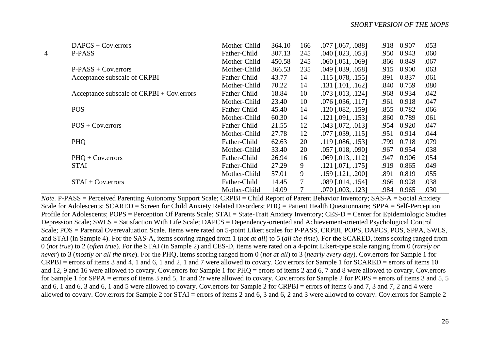|   | $DAPCS + Cov. errors$                     | Mother-Child | 364.10 | 166 | $.077$ [ $.067, .088$ ]    | .918 | 0.907 | .053 |
|---|-------------------------------------------|--------------|--------|-----|----------------------------|------|-------|------|
| 4 | P-PASS                                    | Father-Child | 307.13 | 245 | $.040$ $[.023, .053]$      | .950 | 0.943 | .060 |
|   |                                           | Mother-Child | 450.58 | 245 | $.060$ [ $.051, .069$ ]    | .866 | 0.849 | .067 |
|   | $P-PASS + Cov.$ errors                    | Mother-Child | 366.53 | 235 | $.049$ $[.039, .058]$      | .915 | 0.900 | .063 |
|   | Acceptance subscale of CRPBI              | Father-Child | 43.77  | 14  | $.115$ [.078, .155]        | .891 | 0.837 | .061 |
|   |                                           | Mother-Child | 70.22  | 14  | $.131$ [ $.101, .162$ ]    | .840 | 0.759 | .080 |
|   | Acceptance subscale of CRPBI + Cov.errors | Father-Child | 18.84  | 10  | $.073$ [ $.013$ , $.124$ ] | .968 | 0.934 | .042 |
|   |                                           | Mother-Child | 23.40  | 10  | $.076$ [ $.036, .117$ ]    | .961 | 0.918 | .047 |
|   | <b>POS</b>                                | Father-Child | 45.40  | 14  | $.120$ [.082, .159]        | .855 | 0.782 | .066 |
|   |                                           | Mother-Child | 60.30  | 14  | $.121$ [.091, .153]        | .860 | 0.789 | .061 |
|   | $POS + Cov.$                              | Father-Child | 21.55  | 12  | $.043$ [.072, .013]        | .954 | 0.920 | .047 |
|   |                                           | Mother-Child | 27.78  | 12  | $.077$ [.039, .115]        | .951 | 0.914 | .044 |
|   | PHQ                                       | Father-Child | 62.63  | 20  | $.119$ [.086, .153]        | .799 | 0.718 | .079 |
|   |                                           | Mother-Child | 33.40  | 20  | $.057$ [.018, .090]        | .967 | 0.954 | .038 |
|   | $PHQ + Cov.$ errors                       | Father-Child | 26.94  | 16  | $.069$ [.013, .112]        | .947 | 0.906 | .054 |
|   | <b>STAI</b>                               | Father-Child | 27.29  | 9   | $.121$ [.071, .175]        | .919 | 0.865 | .049 |
|   |                                           | Mother-Child | 57.01  | 9   | $.159$ [ $.121, .200$ ]    | .891 | 0.819 | .055 |
|   | $STAI + Cov.$ errors                      | Father-Child | 14.45  | 7   | $.089$ [.014, .154]        | .966 | 0.928 | .038 |
|   |                                           | Mother-Child | 14.09  | 7   | $.070$ $[.003, .123]$      | .984 | 0.965 | .030 |

*Note.* P-PASS = Perceived Parenting Autonomy Support Scale; CRPBI = Child Report of Parent Behavior Inventory; SAS-A = Social Anxiety Scale for Adolescents; SCARED = Screen for Child Anxiety Related Disorders; PHQ = Patient Health Questionnaire; SPPA = Self-Perception Profile for Adolescents; POPS = Perception Of Parents Scale; STAI = State-Trait Anxiety Inventory; CES-D = Center for Epidemiologic Studies Depression Scale; SWLS = Satisfaction With Life Scale; DAPCS = Dependency-oriented and Achievement-oriented Psychological Control Scale; POS = Parental Overevaluation Scale. Items were rated on 5-point Likert scales for P-PASS, CRPBI, POPS, DAPCS, POS, SPPA, SWLS, and STAI (in Sample 4). For the SAS-A, items scoring ranged from 1 (*not at all*) to 5 (*all the time*). For the SCARED, items scoring ranged from 0 (*not true*) to 2 (*often true*). For the STAI (in Sample 2) and CES-D, items were rated on a 4-point Likert-type scale ranging from 0 (*rarely or never*) to 3 (*mostly or all the time*). For the PHQ, items scoring ranged from 0 (*not at all*) to 3 (*nearly every day*). Cov.errors for Sample 1 for CRPBI = errors of items 3 and 4, 1 and 6, 1 and 2, 1 and 7 were allowed to covary. Cov.errors for Sample 1 for SCARED = errors of items 10 and 12, 9 and 16 were allowed to covary. Cov.errors for Sample 1 for PHQ = errors of items 2 and 6, 7 and 8 were allowed to covary. Cov.errors for Sample 1 for SPPA = errors of items 3 and 5, 1r and 2r were allowed to covary. Cov.errors for Sample 2 for POPS = errors of items 3 and 5, 5 and 6, 1 and 6, 3 and 6, 1 and 5 were allowed to covary. Cov.errors for Sample 2 for CRPBI = errors of items 6 and 7, 3 and 7, 2 and 4 were allowed to covary. Cov.errors for Sample 2 for STAI = errors of items 2 and 6, 3 and 6, 2 and 3 were allowed to covary. Cov.errors for Sample 2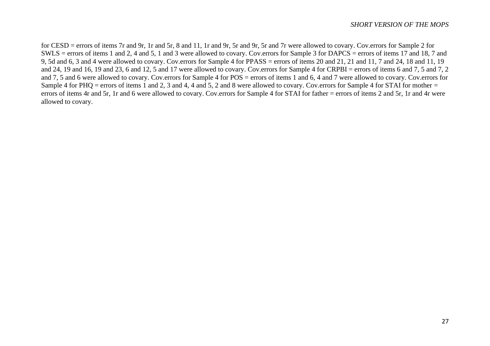for CESD = errors of items 7r and 9r, 1r and 5r, 8 and 11, 1r and 9r, 5r and 9r, 5r and 7r were allowed to covary. Cov.errors for Sample 2 for SWLS = errors of items 1 and 2, 4 and 5, 1 and 3 were allowed to covary. Cov.errors for Sample 3 for DAPCS = errors of items 17 and 18, 7 and 9, 5d and 6, 3 and 4 were allowed to covary. Cov.errors for Sample 4 for PPASS = errors of items 20 and 21, 21 and 11, 7 and 24, 18 and 11, 19 and 24, 19 and 16, 19 and 23, 6 and 12, 5 and 17 were allowed to covary. Cov.errors for Sample 4 for CRPBI = errors of items 6 and 7, 5 and 7, 2 and 7, 5 and 6 were allowed to covary. Cov.errors for Sample 4 for POS = errors of items 1 and 6, 4 and 7 were allowed to covary. Cov.errors for Sample 4 for PHQ = errors of items 1 and 2, 3 and 4, 4 and 5, 2 and 8 were allowed to covary. Cov.errors for Sample 4 for STAI for mother = errors of items 4r and 5r, 1r and 6 were allowed to covary. Cov.errors for Sample 4 for STAI for father = errors of items 2 and 5r, 1r and 4r were allowed to covary.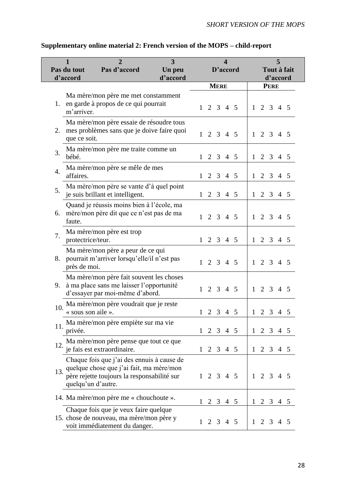| $\mathbf{2}$<br>3<br>1<br>Pas d'accord<br>Pas du tout<br>Un peu |                    |                                                                                                                                       |          |              |                     |             | D'accord | 5<br>Tout à fait<br>d'accord |                     |             |                 |  |  |  |
|-----------------------------------------------------------------|--------------------|---------------------------------------------------------------------------------------------------------------------------------------|----------|--------------|---------------------|-------------|----------|------------------------------|---------------------|-------------|-----------------|--|--|--|
|                                                                 | d'accord           |                                                                                                                                       | d'accord |              |                     |             |          |                              |                     |             |                 |  |  |  |
| 1.                                                              | m'arriver.         | Ma mère/mon père me met constamment<br>en garde à propos de ce qui pourrait                                                           |          |              | $1 \t2 \t3 \t4 \t5$ | <b>MERE</b> |          |                              | $1 \t2 \t3 \t4 \t5$ | <b>PERE</b> |                 |  |  |  |
| 2.                                                              | que ce soit.       | Ma mère/mon père essaie de résoudre tous<br>mes problèmes sans que je doive faire quoi                                                |          |              | $1 \t2 \t3 \t4 \t5$ |             |          |                              | $1 \t2 \t3 \t4 \t5$ |             |                 |  |  |  |
| 3.                                                              | bébé.              | Ma mère/mon père me traite comme un                                                                                                   |          |              | $1 \t2 \t3 \t4 \t5$ |             |          |                              | $1 \t2 \t3 \t4 \t5$ |             |                 |  |  |  |
| $\overline{4}$ .                                                | affaires.          | Ma mère/mon père se mêle de mes                                                                                                       |          |              | $1 \t2 \t3 \t4 \t5$ |             |          |                              | $1 \t2 \t3 \t4 \t5$ |             |                 |  |  |  |
| 5.                                                              |                    | Ma mère/mon père se vante d'à quel point<br>je suis brillant et intelligent.                                                          |          | $\mathbf{1}$ |                     |             | 2 3 4 5  |                              | $1 \t2 \t3 \t4 \t5$ |             |                 |  |  |  |
| 6.                                                              | faute.             | Quand je réussis moins bien à l'école, ma<br>mère/mon père dit que ce n'est pas de ma                                                 |          | $\mathbf{1}$ |                     |             | 2 3 4 5  | $\mathbf{1}$                 |                     |             | 2 3 4 5         |  |  |  |
| 7.                                                              | protectrice/teur.  | Ma mère/mon père est trop                                                                                                             |          |              | $1 \t2 \t3 \t4 \t5$ |             |          | $\mathbf{1}$                 |                     | 2 3         | $4\overline{5}$ |  |  |  |
|                                                                 | près de moi.       | Ma mère/mon père a peur de ce qui<br>8. pourrait m'arriver lorsqu'elle/il n'est pas                                                   |          | 1            |                     |             | 2 3 4 5  | 1                            | 2 3 4 5             |             |                 |  |  |  |
| 9.                                                              |                    | Ma mère/mon père fait souvent les choses<br>à ma place sans me laisser l'opportunité<br>d'essayer par moi-même d'abord.               |          |              | $1 \t2 \t3 \t4 \t5$ |             |          |                              | $1 \t2 \t3 \t4 \t5$ |             |                 |  |  |  |
| 10.                                                             | « sous son aile ». | Ma mère/mon père voudrait que je reste                                                                                                |          |              | $1 \t2 \t3 \t4 \t5$ |             |          |                              | $1 \t2 \t3 \t4 \t5$ |             |                 |  |  |  |
| 11.                                                             | privée.            | Ma mère/mon père empiète sur ma vie                                                                                                   |          |              | $1\ 2\ 3\ 4\ 5$     |             |          |                              | $1 \t2 \t3 \t4 \t5$ |             |                 |  |  |  |
| 12.                                                             |                    | Ma mère/mon père pense que tout ce que<br>je fais est extraordinaire.                                                                 |          |              | $1 \t2 \t3 \t4 \t5$ |             |          |                              | $1 \t2 \t3 \t4 \t5$ |             |                 |  |  |  |
| 13.                                                             | quelqu'un d'autre. | Chaque fois que j'ai des ennuis à cause de<br>quelque chose que j'ai fait, ma mère/mon<br>père rejette toujours la responsabilité sur |          |              | $1 \t2 \t3 \t4 \t5$ |             |          |                              | 1 2 3 4 5           |             |                 |  |  |  |
|                                                                 |                    | 14. Ma mère/mon père me « chouchoute ».                                                                                               |          | 1            |                     |             | 2 3 4 5  |                              | $1 \t2 \t3 \t4 \t5$ |             |                 |  |  |  |
|                                                                 |                    | Chaque fois que je veux faire quelque<br>15. chose de nouveau, ma mère/mon père y<br>voit immédiatement du danger.                    |          |              | $1 \t2 \t3 \t4 \t5$ |             |          |                              | $1 \t2 \t3 \t4 \t5$ |             |                 |  |  |  |

# **Supplementary online material 2: French version of the MOPS – child-report**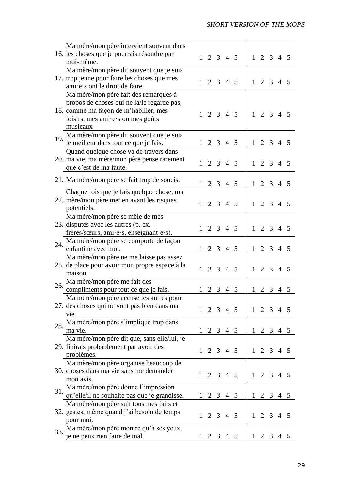|     | Ma mère/mon père intervient souvent dans       |              |             |                |                     |   |                     |     |                 |  |
|-----|------------------------------------------------|--------------|-------------|----------------|---------------------|---|---------------------|-----|-----------------|--|
|     | 16. les choses que je pourrais résoudre par    |              |             |                | $1 \t2 \t3 \t4 \t5$ |   | $1 \t2 \t3 \t4 \t5$ |     |                 |  |
|     | moi-même.                                      |              |             |                |                     |   |                     |     |                 |  |
|     | Ma mère/mon père dit souvent que je suis       |              |             |                |                     |   |                     |     |                 |  |
|     | 17. trop jeune pour faire les choses que mes   |              |             |                |                     |   |                     |     |                 |  |
|     | ami e s ont le droit de faire.                 |              |             |                | $1 \t2 \t3 \t4 \t5$ |   | $1 \t2 \t3 \t4 \t5$ |     |                 |  |
|     | Ma mère/mon père fait des remarques à          |              |             |                |                     |   |                     |     |                 |  |
|     | propos de choses qui ne la/le regarde pas,     |              |             |                |                     |   |                     |     |                 |  |
|     | 18. comme ma façon de m'habiller, mes          |              |             |                |                     |   |                     |     |                 |  |
|     | loisirs, mes ami·e·s ou mes goûts              |              |             |                | $1 \t2 \t3 \t4 \t5$ |   | $1 \t2 \t3 \t4 \t5$ |     |                 |  |
|     | musicaux                                       |              |             |                |                     |   |                     |     |                 |  |
|     | Ma mère/mon père dit souvent que je suis       |              |             |                |                     |   |                     |     |                 |  |
| 19. | le meilleur dans tout ce que je fais.          |              |             |                | $1 \t2 \t3 \t4 \t5$ |   | $1 \t2 \t3 \t4 \t5$ |     |                 |  |
|     | Quand quelque chose va de travers dans         |              |             |                |                     |   |                     |     |                 |  |
|     | 20. ma vie, ma mère/mon père pense rarement    |              |             |                |                     |   |                     |     |                 |  |
|     | que c'est de ma faute.                         |              |             |                | $1 \t2 \t3 \t4 \t5$ |   | $1 \t2 \t3 \t4 \t5$ |     |                 |  |
|     |                                                |              |             |                |                     |   |                     |     |                 |  |
|     | 21. Ma mère/mon père se fait trop de soucis.   |              |             |                | $1 \t2 \t3 \t4 \t5$ |   | $1 \t2 \t3 \t4 \t5$ |     |                 |  |
|     | Chaque fois que je fais quelque chose, ma      |              |             |                |                     |   |                     |     |                 |  |
|     | 22. mère/mon père met en avant les risques     |              |             |                |                     |   |                     |     |                 |  |
|     | potentiels.                                    |              |             |                | $1 \t2 \t3 \t4 \t5$ |   | $1 \t2 \t3 \t4 \t5$ |     |                 |  |
|     | Ma mère/mon père se mêle de mes                |              |             |                |                     |   |                     |     |                 |  |
|     | 23. disputes avec les autres (p. ex.           |              |             |                |                     |   |                     |     |                 |  |
|     | frères/sœurs, ami·e·s, enseignant·e·s).        |              |             |                | $1 \t2 \t3 \t4 \t5$ |   | $1 \t2 \t3 \t4 \t5$ |     |                 |  |
|     | Ma mère/mon père se comporte de façon          |              |             |                |                     |   |                     |     |                 |  |
| 24. | enfantine avec moi.                            |              |             |                | $1 \t2 \t3 \t4 \t5$ |   | $1 \t2 \t3 \t4 \t5$ |     |                 |  |
|     | Ma mère/mon père ne me laisse pas assez        |              |             |                |                     |   |                     |     |                 |  |
|     | 25. de place pour avoir mon propre espace à la |              |             |                |                     |   |                     |     |                 |  |
|     | maison.                                        |              |             |                | $1 \t2 \t3 \t4 \t5$ |   | $1 \t2 \t3 \t4 \t5$ |     |                 |  |
|     |                                                |              |             |                |                     |   |                     |     |                 |  |
| 26. | Ma mère/mon père me fait des                   |              |             |                |                     |   |                     |     |                 |  |
|     | compliments pour tout ce que je fais.          |              |             |                | $1 \t2 \t3 \t4 \t5$ |   | $1 \t2 \t3 \t4 \t5$ |     |                 |  |
|     | Ma mère/mon père accuse les autres pour        |              |             |                |                     |   |                     |     |                 |  |
|     | 27. des choses qui ne vont pas bien dans ma    | 1            |             |                | 2 3 4 5             |   | $1 \t2 \t3 \t4 \t5$ |     |                 |  |
|     | vie.                                           |              |             |                |                     |   |                     |     |                 |  |
| 28. | Ma mère/mon père s'implique trop dans          |              |             |                |                     |   |                     |     |                 |  |
|     | ma vie.                                        |              |             |                | $1 \t2 \t3 \t4 \t5$ |   | $1 \t2 \t3 \t4 \t5$ |     |                 |  |
|     | Ma mère/mon père dit que, sans elle/lui, je    |              |             |                |                     |   |                     |     |                 |  |
|     | 29. finirais probablement par avoir des        |              |             |                | $1 \t2 \t3 \t4 \t5$ |   | $1 \t2 \t3 \t4 \t5$ |     |                 |  |
|     | problèmes.                                     |              |             |                |                     |   |                     |     |                 |  |
|     | Ma mère/mon père organise beaucoup de          |              |             |                |                     |   |                     |     |                 |  |
|     | 30. choses dans ma vie sans me demander        |              |             |                | $1 \t2 \t3 \t4 \t5$ |   | $1 \t2 \t3 \t4 \t5$ |     |                 |  |
|     | mon avis.                                      |              |             |                |                     |   |                     |     |                 |  |
| 31. | Ma mère/mon père donne l'impression            |              |             |                |                     |   |                     |     |                 |  |
|     | qu'elle/il ne souhaite pas que je grandisse.   |              | $1 \t2 \t3$ |                | $4\overline{5}$     |   | $1 \t2 \t3$         |     | $4\overline{5}$ |  |
|     | Ma mère/mon père suit tous mes faits et        |              |             |                |                     |   |                     |     |                 |  |
|     | 32. gestes, même quand j'ai besoin de temps    |              |             |                | $1 \t2 \t3 \t4 \t5$ |   | $1 \t2 \t3 \t4 \t5$ |     |                 |  |
|     | pour moi.                                      |              |             |                |                     |   |                     |     |                 |  |
| 33. | Ma mère/mon père montre qu'à ses yeux,         |              |             |                |                     |   |                     |     |                 |  |
|     | e ne peux rien faire de mal.                   | $\mathbf{I}$ | 2           | 3 <sup>7</sup> | $4\overline{5}$     | 1 |                     | 2 3 | 4 5             |  |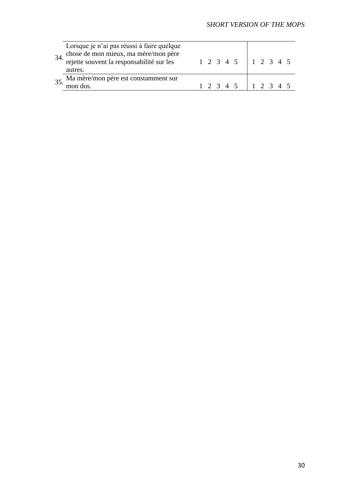| 34. | Lorsque je n'ai pas réussi à faire quelque<br>chose de mon mieux, ma mère/mon père<br>rejette souvent la responsabilité sur les<br>autres. |  |  | $1 \t2 \t3 \t4 \t5 \t1 \t2 \t3 \t4 \t5$ |  |  |  |
|-----|--------------------------------------------------------------------------------------------------------------------------------------------|--|--|-----------------------------------------|--|--|--|
|     | 35. Ma mère/mon père est constamment sur<br>mon dos.                                                                                       |  |  | $1 \t2 \t3 \t4 \t5 \t1 \t2 \t3 \t4 \t5$ |  |  |  |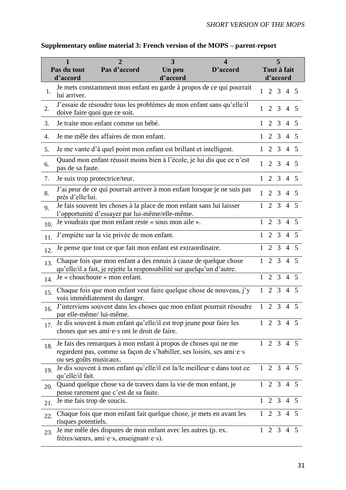|     | $\mathbf{1}$<br>Pas du tout<br>d'accord                                                                | $\overline{2}$<br>Pas d'accord                                                                                                             | 3<br>Un peu<br>d'accord | $\boldsymbol{\Delta}$<br>D'accord |                | Tout à fait<br>d'accord | 5               |                |                |
|-----|--------------------------------------------------------------------------------------------------------|--------------------------------------------------------------------------------------------------------------------------------------------|-------------------------|-----------------------------------|----------------|-------------------------|-----------------|----------------|----------------|
| 1.  | lui arriver.                                                                                           | Je mets constamment mon enfant en garde à propos de ce qui pourrait                                                                        |                         |                                   | $\mathbf{1}$   | $\overline{2}$          |                 | 3 4 5          |                |
| 2.  | J'essaie de résoudre tous les problèmes de mon enfant sans qu'elle/il<br>doive faire quoi que ce soit. | 1                                                                                                                                          | $\overline{2}$          | 3                                 | $\overline{4}$ | .5                      |                 |                |                |
| 3.  |                                                                                                        | Je traite mon enfant comme un bébé.                                                                                                        |                         |                                   | 1              |                         | $2 \quad 3$     | $\overline{4}$ | 5              |
| 4.  |                                                                                                        | Je me mêle des affaires de mon enfant.                                                                                                     |                         |                                   | $\mathbf{1}$   |                         | 2 3 4 5         |                |                |
| 5.  |                                                                                                        | Je me vante d'à quel point mon enfant est brillant et intelligent.                                                                         |                         |                                   | 1              | 2                       | 3               | 4 5            |                |
| 6.  | pas de sa faute.                                                                                       | Quand mon enfant réussit moins bien à l'école, je lui dis que ce n'est                                                                     |                         |                                   | 1              | $\overline{2}$          | 3               | $\overline{4}$ | $\overline{5}$ |
| 7.  |                                                                                                        | Je suis trop protectrice/teur.                                                                                                             |                         |                                   | $\mathbf{1}$   |                         | 2 3 4 5         |                |                |
| 8.  | près d'elle/lui.                                                                                       | J'ai peur de ce qui pourrait arriver à mon enfant lorsque je ne suis pas                                                                   |                         |                                   | $\mathbf{1}$   | $\overline{2}$          | 3               | $\overline{4}$ | 5              |
| 9.  |                                                                                                        | Je fais souvent les choses à la place de mon enfant sans lui laisser<br>l'opportunité d'essayer par lui-même/elle-même.                    |                         |                                   | 1              | $\overline{2}$          | 3               | $\overline{4}$ | $\overline{5}$ |
| 10. |                                                                                                        | Je voudrais que mon enfant reste « sous mon aile ».                                                                                        |                         |                                   | $\mathbf{1}$   | $\overline{2}$          | 3               | $\overline{4}$ | 5              |
| 11. |                                                                                                        | J'empiète sur la vie privée de mon enfant.                                                                                                 |                         |                                   | 1              | $\overline{2}$          | 3               | $\overline{4}$ | 5              |
| 12. |                                                                                                        | Je pense que tout ce que fait mon enfant est extraordinaire.                                                                               |                         |                                   | 1              | $\overline{2}$          | 3               | $\overline{4}$ | $\overline{5}$ |
| 13. |                                                                                                        | Chaque fois que mon enfant a des ennuis à cause de quelque chose<br>qu'elle/il a fait, je rejette la responsabilité sur quelqu'un d'autre. |                         |                                   | 1              | $\overline{2}$          | 3               | $\overline{4}$ | 5              |
| 14. |                                                                                                        | Je « chouchoute » mon enfant.                                                                                                              |                         |                                   | $\mathbf{1}$   | $\overline{2}$          | 3               | $\overline{4}$ | 5              |
| 15. |                                                                                                        | Chaque fois que mon enfant veut faire quelque chose de nouveau, j'y<br>vois immédiatement du danger.                                       |                         |                                   | $\mathbf{1}$   | 2                       | $\overline{3}$  | $\overline{4}$ | $\overline{5}$ |
| 16. | par elle-même/lui-même.                                                                                | J'interviens souvent dans les choses que mon enfant pourrait résoudre                                                                      |                         |                                   | $\mathbf{1}$   | 2                       | $\overline{3}$  | $\overline{4}$ | 5              |
| 17. |                                                                                                        | Je dis souvent à mon enfant qu'elle/il est trop jeune pour faire les<br>choses que ses ami $\cdot$ e $\cdot$ s ont le droit de faire.      |                         |                                   |                | $1 \t2 \t3 \t4 \t5$     |                 |                |                |
| 18. | ou ses goûts musicaux.                                                                                 | Je fais des remarques à mon enfant à propos de choses qui ne me<br>regardent pas, comme sa façon de s'habiller, ses loisirs, ses ami·e·s   |                         |                                   |                | $1 \t2 \t3 \t4 \t5$     |                 |                |                |
| 19. | qu'elle/il fait.                                                                                       | Je dis souvent à mon enfant qu'elle/il est la/le meilleur e dans tout ce                                                                   |                         |                                   |                | $1\quad 2\quad 3$       |                 |                | $4\quad 5$     |
| 20. |                                                                                                        | Quand quelque chose va de travers dans la vie de mon enfant, je<br>pense rarement que c'est de sa faute.                                   |                         |                                   | $\mathbf{1}$   | <sup>2</sup>            | 3               | $\overline{4}$ | 5              |
| 21. | Je me fais trop de soucis.                                                                             |                                                                                                                                            |                         |                                   | $\mathbf{1}$   |                         | $2 \t3 \t4 \t5$ |                |                |
| 22. | risques potentiels.                                                                                    | Chaque fois que mon enfant fait quelque chose, je mets en avant les                                                                        |                         |                                   | 1              |                         | 2 3 4 5         |                |                |
| 23. |                                                                                                        | Je me mêle des disputes de mon enfant avec les autres (p. ex.<br>frères/sœurs, ami·e·s, enseignant·e·s).                                   |                         |                                   |                | $1 \t2 \t3 \t4 \t5$     |                 |                |                |

# **Supplementary online material 3: French version of the MOPS – parent-report**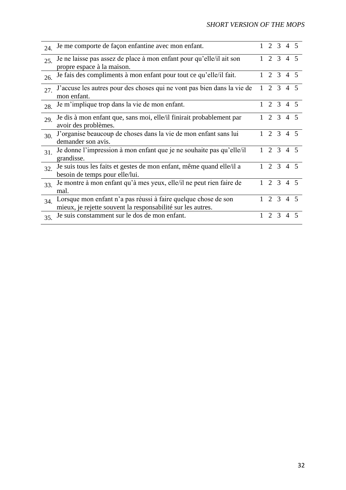# *SHORT VERSION OF THE MOPS*

| 24. | Je me comporte de façon enfantine avec mon enfant.                                                                            |              |                             | 2 3 4 5       |                |  |
|-----|-------------------------------------------------------------------------------------------------------------------------------|--------------|-----------------------------|---------------|----------------|--|
| 25. | Je ne laisse pas assez de place à mon enfant pour qu'elle/il ait son                                                          |              |                             | 2 3 4 5       |                |  |
|     | propre espace à la maison.                                                                                                    |              |                             |               |                |  |
| 26. | Je fais des compliments à mon enfant pour tout ce qu'elle/il fait.                                                            |              |                             | 2 3 4 5       |                |  |
| 27. | J'accuse les autres pour des choses qui ne vont pas bien dans la vie de<br>mon enfant.                                        | $\mathbf{1}$ |                             | 2 3 4 5       |                |  |
| 28. | Je m'implique trop dans la vie de mon enfant.                                                                                 | 1            |                             | 2 3 4 5       |                |  |
| 29. | Je dis à mon enfant que, sans moi, elle/il finirait probablement par<br>avoir des problèmes.                                  |              |                             | 2 3 4 5       |                |  |
| 30. | J'organise beaucoup de choses dans la vie de mon enfant sans lui<br>demander son avis.                                        |              |                             | 2 3 4 5       |                |  |
| 31. | Je donne l'impression à mon enfant que je ne souhaite pas qu'elle/il<br>grandisse.                                            | $\mathbf{1}$ |                             | 2 3 4 5       |                |  |
| 32. | Je suis tous les faits et gestes de mon enfant, même quand elle/il a<br>besoin de temps pour elle/lui.                        | $\mathbf{1}$ |                             | 2 3 4 5       |                |  |
| 33  | Je montre à mon enfant qu'à mes yeux, elle/il ne peut rien faire de<br>mal.                                                   |              |                             | 2 3 4 5       |                |  |
| 34  | Lorsque mon enfant n'a pas réussi à faire quelque chose de son<br>mieux, je rejette souvent la responsabilité sur les autres. |              |                             | 2 3 4 5       |                |  |
| 35. | Je suis constamment sur le dos de mon enfant.                                                                                 |              | $\mathcal{D}_{\mathcal{L}}$ | $\mathcal{R}$ | $\overline{4}$ |  |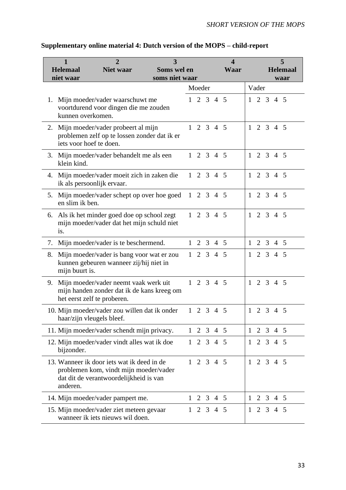|    | $\mathbf{1}$                 | 2                                                                                                                              | 3                             |              |            |                     |                 | $\overline{\mathbf{4}}$ |              |                     |             |            | 5                       |
|----|------------------------------|--------------------------------------------------------------------------------------------------------------------------------|-------------------------------|--------------|------------|---------------------|-----------------|-------------------------|--------------|---------------------|-------------|------------|-------------------------|
|    | <b>Helemaal</b><br>niet waar | <b>Niet waar</b>                                                                                                               | Soms wel en<br>soms niet waar |              |            |                     |                 | <b>Waar</b>             |              |                     |             |            | <b>Helemaal</b><br>waar |
|    |                              |                                                                                                                                |                               |              | Moeder     |                     |                 |                         |              | Vader               |             |            |                         |
|    | kunnen overkomen.            | 1. Mijn moeder/vader waarschuwt me<br>voortdurend voor dingen die me zouden                                                    |                               |              |            | $1 \t2 \t3 \t4 \t5$ |                 |                         | $\mathbf{1}$ | 2 3 4 5             |             |            |                         |
|    |                              | 2. Mijn moeder/vader probeert al mijn<br>problemen zelf op te lossen zonder dat ik er<br>iets voor hoef te doen.               |                               |              |            | $1 \t2 \t3 \t4 \t5$ |                 |                         | $\mathbf{1}$ | 2 3 4 5             |             |            |                         |
|    | klein kind.                  | 3. Mijn moeder/vader behandelt me als een                                                                                      |                               |              |            | $1 \t2 \t3 \t4 \t5$ |                 |                         | $\mathbf{1}$ | 2 3 4 5             |             |            |                         |
|    |                              | 4. Mijn moeder/vader moeit zich in zaken die<br>ik als persoonlijk ervaar.                                                     |                               |              |            | $1 \t2 \t3 \t4 \t5$ |                 |                         | $\mathbf{1}$ |                     |             | 2 3 4 5    |                         |
|    | en slim ik ben.              | 5. Mijn moeder/vader schept op over hoe goed                                                                                   |                               |              |            | $1 \t2 \t3 \t4 \t5$ |                 |                         |              | $1 \t2 \t3 \t4 \t5$ |             |            |                         |
| 6. | is.                          | Als ik het minder goed doe op school zegt<br>mijn moeder/vader dat het mijn schuld niet                                        |                               |              |            | $1 \t2 \t3 \t4 \t5$ |                 |                         | 1            |                     | $2 \t3 \t4$ |            | 5                       |
| 7. |                              | Mijn moeder/vader is te beschermend.                                                                                           |                               | $\mathbf{1}$ | 2          | 3 <sup>7</sup>      | $4\overline{5}$ |                         | 1            | $\overline{2}$      | 3           | $4\quad 5$ |                         |
| 8. | mijn buurt is.               | Mijn moeder/vader is bang voor wat er zou<br>kunnen gebeuren wanneer zij/hij niet in                                           |                               | $\mathbf{1}$ | 2          |                     | 3 4 5           |                         | 1            |                     | $2 \t3 \t4$ |            | 5                       |
| 9. |                              | Mijn moeder/vader neemt vaak werk uit<br>mijn handen zonder dat ik de kans kreeg om<br>het eerst zelf te proberen.             |                               |              |            | $1 \t2 \t3 \t4 \t5$ |                 |                         |              | $1 \t2 \t3 \t4 \t5$ |             |            |                         |
|    |                              | 10. Mijn moeder/vader zou willen dat ik onder<br>haar/zijn vleugels bleef.                                                     |                               |              | $1\quad 2$ |                     | 3 4 5           |                         | $\mathbf{1}$ |                     | $2 \t3 \t4$ |            | - 5                     |
|    |                              | 11. Mijn moeder/vader schendt mijn privacy.                                                                                    |                               |              |            | $1 \t2 \t3 \t4 \t5$ |                 |                         | 1            | $\overline{2}$      |             | 3 4 5      |                         |
|    | bijzonder.                   | 12. Mijn moeder/vader vindt alles wat ik doe                                                                                   |                               | $\mathbf{1}$ |            | 2 3 4 5             |                 |                         | $\mathbf{1}$ |                     |             | 2 3 4 5    |                         |
|    | anderen.                     | 13. Wanneer ik door jets wat ik deed in de<br>problemen kom, vindt mijn moeder/vader<br>dat dit de verantwoordelijkheid is van |                               |              |            | $1 \t2 \t3 \t4 \t5$ |                 |                         |              | $1 \t2 \t3 \t4 \t5$ |             |            |                         |
|    |                              | 14. Mijn moeder/vader pampert me.                                                                                              |                               | $\mathbf{1}$ |            | 2 3 4 5             |                 |                         | $\mathbf{1}$ |                     |             | 2 3 4 5    |                         |
|    |                              | 15. Mijn moeder/vader ziet meteen gevaar<br>wanneer ik iets nieuws wil doen.                                                   |                               |              |            | $1 \t2 \t3 \t4 \t5$ |                 |                         | $\mathbf{1}$ |                     |             | 2 3 4 5    |                         |

# **Supplementary online material 4: Dutch version of the MOPS – child-report**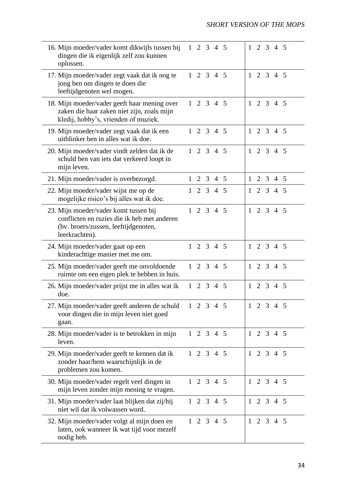| 16. Mijn moeder/vader komt dikwijls tussen bij<br>dingen die ik eigenlijk zelf zou kunnen<br>oplossen.                                         |              | $1 \t2 \t3 \t4 \t5$ |                |         |                 | $\mathbf{1}$ | $\overline{2}$ | 3              | $\overline{4}$      | -5         |
|------------------------------------------------------------------------------------------------------------------------------------------------|--------------|---------------------|----------------|---------|-----------------|--------------|----------------|----------------|---------------------|------------|
| 17. Mijn moeder/vader zegt vaak dat ik nog te<br>jong ben om dingen te doen die<br>leeftijdgenoten wel mogen.                                  |              | $1 \t2 \t3 \t4 \t5$ |                |         |                 | $\mathbf{1}$ |                |                | 2 3 4 5             |            |
| 18. Mijn moeder/vader geeft haar mening over<br>zaken die haar zaken niet zijn, zoals mijn<br>kledij, hobby's, vrienden of muziek.             |              | $1 \t2 \t3 \t4 \t5$ |                |         |                 | $\mathbf{1}$ |                |                | 2 3 4 5             |            |
| 19. Mijn moeder/vader zegt vaak dat ik een<br>uitblinker ben in alles wat ik doe.                                                              | $\mathbf{1}$ |                     |                | 2 3 4 5 |                 | $\mathbf{1}$ |                |                | 2 3 4 5             |            |
| 20. Mijn moeder/vader vindt zelden dat ik de<br>schuld ben van iets dat verkeerd loopt in<br>mijn leven.                                       |              | $1 \t2 \t3 \t4 \t5$ |                |         |                 | $\mathbf{1}$ |                |                | $2 \t3 \t4$         | -5         |
| 21. Mijn moeder/vader is overbezorgd.                                                                                                          | $\mathbf{1}$ | $\overline{2}$      | 3 <sup>7</sup> |         | $4\overline{5}$ | $\mathbf{1}$ | $\overline{2}$ | $\mathfrak{Z}$ |                     | $4\quad 5$ |
| 22. Mijn moeder/vader wijst me op de<br>mogelijke risico's bij alles wat ik doe.                                                               | $\mathbf{1}$ | $\overline{2}$      |                | 3 4 5   |                 | $\mathbf{1}$ |                |                | 2 3 4 5             |            |
| 23. Mijn moeder/vader komt tussen bij<br>conflicten en ruzies die ik heb met anderen<br>(bv. broers/zussen, leeftijdgenoten,<br>leerkrachten). |              | $1 \t2 \t3 \t4 \t5$ |                |         |                 | $\mathbf{1}$ |                |                | 2 3 4 5             |            |
| 24. Mijn moeder/vader gaat op een<br>kinderachtige manier met me om.                                                                           | $\mathbf{1}$ |                     |                | 2 3 4 5 |                 | 1            |                |                | 2 3 4 5             |            |
| 25. Mijn moeder/vader geeft me onvoldoende<br>ruimte om een eigen plek te hebben in huis.                                                      |              | $1 \t2 \t3 \t4 \t5$ |                |         |                 | $\mathbf{1}$ |                |                | 2 3 4 5             |            |
| 26. Mijn moeder/vader prijst me in alles wat ik<br>doe.                                                                                        |              | $1 \t2 \t3 \t4 \t5$ |                |         |                 | $\mathbf{1}$ |                |                | 2 3 4 5             |            |
| 27. Mijn moeder/vader geeft anderen de schuld<br>voor dingen die in mijn leven niet goed<br>gaan.                                              |              | $1 \t2 \t3 \t4 \t5$ |                |         |                 |              |                |                | $1 \t2 \t3 \t4 \t5$ |            |
| 28. Mijn moeder/vader is te betrokken in mijn<br>leven.                                                                                        |              | $1 \t2 \t3 \t4 \t5$ |                |         |                 |              |                |                | $1 \t2 \t3 \t4 \t5$ |            |
| 29. Mijn moeder/vader geeft te kennen dat ik<br>zonder haar/hem waarschijnlijk in de<br>problemen zou komen.                                   |              | $1 \t2 \t3 \t4 \t5$ |                |         |                 |              |                |                | $1 \t2 \t3 \t4 \t5$ |            |
| 30. Mijn moeder/vader regelt veel dingen in<br>mijn leven zonder mijn mening te vragen.                                                        |              | $1 \t2 \t3 \t4 \t5$ |                |         |                 |              |                |                | $1 \t2 \t3 \t4 \t5$ |            |
| 31. Mijn moeder/vader laat blijken dat zij/hij<br>niet wil dat ik volwassen word.                                                              |              | $1 \t2 \t3 \t4 \t5$ |                |         |                 |              |                |                | $1 \t2 \t3 \t4 \t5$ |            |
| 32. Mijn moeder/vader volgt al mijn doen en<br>laten, ook wanneer ik wat tijd voor mezelf<br>nodig heb.                                        |              | $1 \t2 \t3 \t4 \t5$ |                |         |                 |              |                |                | $1 \t2 \t3 \t4 \t5$ |            |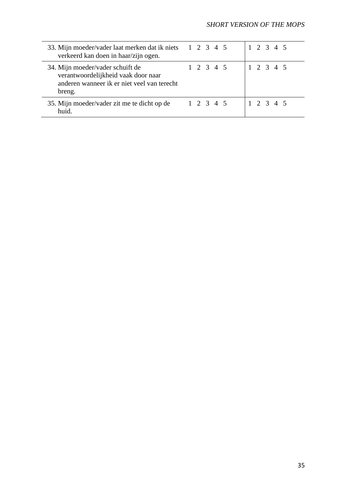| 33. Mijn moeder/vader laat merken dat ik niets 1 2 3 4 5<br>verkeerd kan doen in haar/zijn ogen.                                 |           | 1 2 3 4 5 |
|----------------------------------------------------------------------------------------------------------------------------------|-----------|-----------|
| 34. Mijn moeder/vader schuift de<br>verantwoordelijkheid vaak door naar<br>anderen wanneer ik er niet veel van terecht<br>breng. | 1 2 3 4 5 | 1 2 3 4 5 |
| 35. Mijn moeder/vader zit me te dicht op de<br>huid.                                                                             | 1 2 3 4 5 | 1 2 3 4 5 |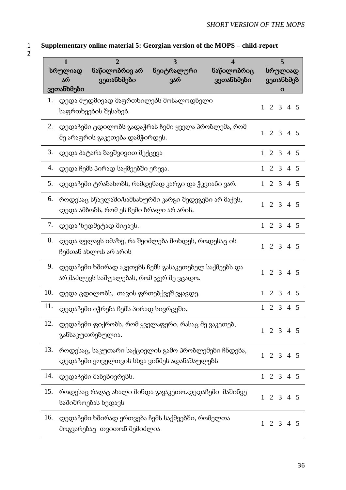## 1 **Supplementary online material 5: Georgian version of the MOPS – child-report** 2

|     | 1<br>სრულიად<br>არ<br>ვეთანხმები | $\overline{2}$<br>ნაწილობრივ არ<br>ვეთანხმები                                                      | 3<br>ნეიტრალური<br>ვარ | $\overline{\mathbf{4}}$<br>ნაწილობრიც<br>ვეთანხმები |                     | 5<br>სრულიად<br>ვეთანხმებ<br>O |                 |    |
|-----|----------------------------------|----------------------------------------------------------------------------------------------------|------------------------|-----------------------------------------------------|---------------------|--------------------------------|-----------------|----|
| 1.  |                                  | დედა მუდმივად მაფრთხილებს მოსალოდნელი<br>საფრთხეების შესახებ.                                      |                        |                                                     | 2<br>1              |                                | 3 4 5           |    |
| 2.  |                                  | დედაჩემი ცდილობს გადაჭრას ჩემი ყველა პრობლემა, რომ<br>მე არაფრის გაკეთება დამჭირდეს.               |                        |                                                     | $\mathbf{1}$        | 2 3 4 5                        |                 |    |
| 3.  |                                  | დედა პატარა ბავშვივით მექცევა                                                                      |                        |                                                     | $\mathbf{1}$        | 2 3 4 5                        |                 |    |
| 4.  |                                  | დედა ჩემს პირად საქმეებში ერევა.                                                                   |                        |                                                     | 2<br>$\mathbf{1}$   | 3                              | $4\quad5$       |    |
| 5.  |                                  | დედაჩემი ტრაბახობს, რამდენად კარგი და ჭკვიანი ვარ.                                                 |                        |                                                     | 2<br>$\mathbf{1}$   | $\mathfrak{Z}$                 | $4\overline{5}$ |    |
| 6.  |                                  | როდესაც სწავლაში/სამსახურში კარგი შედეგები არ მაქვს,<br>დედა ამბობს, რომ ეს ჩემი ბრალი არ არის.    |                        |                                                     | 2<br>$\mathbf{1}$   | $\overline{3}$                 | 4 5             |    |
| 7.  |                                  | დედა ზედმეტად მიცავს.                                                                              |                        |                                                     | $\overline{2}$<br>1 | 3                              | $4\overline{5}$ |    |
| 8.  |                                  | დედა ღელავს იმაზე, რა შეიძლება მოხდეს, როდესაც ის<br>ჩემთან ახლოს არ არის                          |                        |                                                     | 2<br>1              | $\overline{3}$                 | 4 5             |    |
| 9.  |                                  | დედაჩემი ხშირად აკეთებს ჩემს გასაკეთებელ საქმეებს და<br>არ მაძლევს საშუალებას, რომ ჯერ მე ვცადო.   |                        |                                                     | $\mathbf{1}$        | 2 3 4 5                        |                 |    |
| 10. |                                  | დედა ცდილობს, თავის ფრთებქვეშ ვყავდე.                                                              |                        |                                                     | $\mathbf{1}$        | 2 3 4 5                        |                 |    |
| 11. |                                  | დედაჩემი იჭრება ჩემს პირად სივრცეში.                                                               |                        |                                                     | $\overline{2}$<br>1 | $\overline{3}$                 | $\overline{4}$  | -5 |
| 12. |                                  | დედაჩემი ფიქრობს, რომ ყველაფერი, რასაც მე ვაკეთებ,<br>განსაკუთრებულია.                             |                        |                                                     | $1 \t2 \t3 \t4 \t5$ |                                |                 |    |
| 13. |                                  | როდესაც, საკუთარი საქციელის გამო პრობლემები ჩნდება,<br>დედაჩემი ყოველთვის სხვა ვინმეს ადანაშაულებს |                        |                                                     | $1 \t2 \t3 \t4 \t5$ |                                |                 |    |
| 14. |                                  | დედაჩემი მანებივრებს.                                                                              |                        |                                                     | $1 \t2 \t3 \t4 \t5$ |                                |                 |    |
| 15. |                                  | როდესაც რაღაც ახალი მინდა გავაკეთო.დედაჩემი მაშინვე<br>საშიშროებას ხედავს                          |                        |                                                     | 2<br>$\mathbf{1}$   |                                | 3 4 5           |    |
| 16. |                                  | დედაჩემი ხშირად ერთვება ჩემს საქმეებში, რომელთა<br>მოგვარებაც თვითონ შემიძლია                      |                        |                                                     | 2<br>$\mathbf{1}$   | $\mathfrak{Z}$                 | 4 5             |    |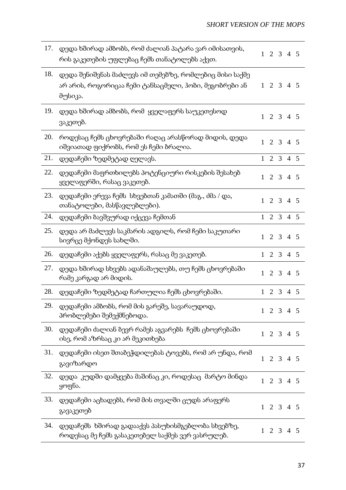| 17. | დედა ხშირად ამბობს, რომ ძალიან პატარა ვარ იმისათვის,<br>რის გაკეთების უფლებაც ჩემს თანატოლებს აქვთ.                         | $\mathbf{1}$ | 2 3 4 5             |                  |                 |  |
|-----|-----------------------------------------------------------------------------------------------------------------------------|--------------|---------------------|------------------|-----------------|--|
| 18. | დედა შენიშვნას მაძლევს იმ თემებზე, რომლებიც მისი საქმე<br>არ არის, როგორიცაა ჩემი ტანსაცმელი, ჰობი, მეგობრები ან<br>მუსიკა. |              | $1 \t2 \t3 \t4 \t5$ |                  |                 |  |
| 19. | დედა ხშირად ამბობს, რომ  ყველაფერს საუკეთესოდ<br>ვაკეთებ.                                                                   | $\mathbf{1}$ |                     | $2 \overline{3}$ | 4 5             |  |
| 20. | როდესაც ჩემს ცხოვრებაში რაღაც არასწორად მიდის, დედა<br>იშვიათად ფიქრობს, რომ ეს ჩემი ბრალია.                                | $\mathbf{1}$ |                     |                  | 2 3 4 5         |  |
| 21. | დედაჩემი ზედმეტად ღელავს.                                                                                                   | $\mathbf{1}$ |                     |                  | 2 3 4 5         |  |
| 22. | დედაჩემი მაფრთხილებს პოტენციური რისკების შესახებ<br>ყველაფერში, რასაც ვაკეთებ.                                              | $\mathbf{1}$ |                     |                  | 2 3 4 5         |  |
| 23. | დედაჩემი ერევა ჩემს სხვებთან კამათში (მაგ., ძმა / და,<br>თანატოლები, მასწავლებლები).                                        | 1            | 2                   | $\mathfrak{Z}$   | $4\overline{5}$ |  |
| 24. | დედაჩემი ბავშვურად იქცევა ჩემთან                                                                                            |              | $1 \t2 \t3 \t4 \t5$ |                  |                 |  |
| 25. | დედა არ მაძლევს საკმარის ადგილს, რომ ჩემი საკუთარი<br>სივრცე მქონდეს სახლში.                                                | $\mathbf{1}$ | 2                   |                  | 3 4 5           |  |
| 26. | დედაჩემი აქებს ყველაფერს, რასაც მე ვაკეთებ.                                                                                 | $\mathbf{1}$ | 2 3 4 5             |                  |                 |  |
| 27. | დედა ხშირად სხვებს ადანაშაულებს, თუ ჩემს ცხოვრებაში<br>რამე კარგად არ მიდის.                                                | $\mathbf{1}$ |                     |                  | 2 3 4 5         |  |
| 28. | დედაჩემი ზედმეტად ჩართულია ჩემს ცხოვრებაში.                                                                                 | $\mathbf{1}$ | 2                   |                  | 3 4 5           |  |
| 29. | დედაჩემი ამბობს, რომ მის გარეშე, სავარაუდოდ,<br>პრობლემები შემექმნებოდა.                                                    |              | $1 \t2 \t3 \t4 \t5$ |                  |                 |  |
| 30. | დედაჩემი ძალიან ბევრ რამეს აგვარებს  ჩემს ცხოვრებაში<br>ისე, რომ აზრსაც კი არ მეკითხება                                     | $\mathbf{1}$ |                     |                  | 2 3 4 5         |  |
| 31. | დედაჩემი ისეთ შთაბეჭდილებას ტოვებს, რომ არ უნდა, რომ<br>გავიზარდო                                                           | 1            |                     |                  | 2 3 4 5         |  |
| 32. | დედა  კუდში დამყვება მაშინაც კი, როდესაც  მარტო მინდა<br>ყოფნა.                                                             |              | $1 \t2 \t3 \t4 \t5$ |                  |                 |  |
| 33. | დედაჩემი აცხადებს, რომ მის თვალში ცუდს არაფერს<br>გავაკეთებ                                                                 | $\mathbf{1}$ | 2 3 4 5             |                  |                 |  |
| 34. | დედაჩემს ხშირად გადააქვს პასუხისმგებლობა სხვებზე,<br>როდესაც მე ჩემს გასაკეთებელ საქმეს ვერ ვასრულებ.                       | $\mathbf{1}$ |                     |                  | 2 3 4 5         |  |